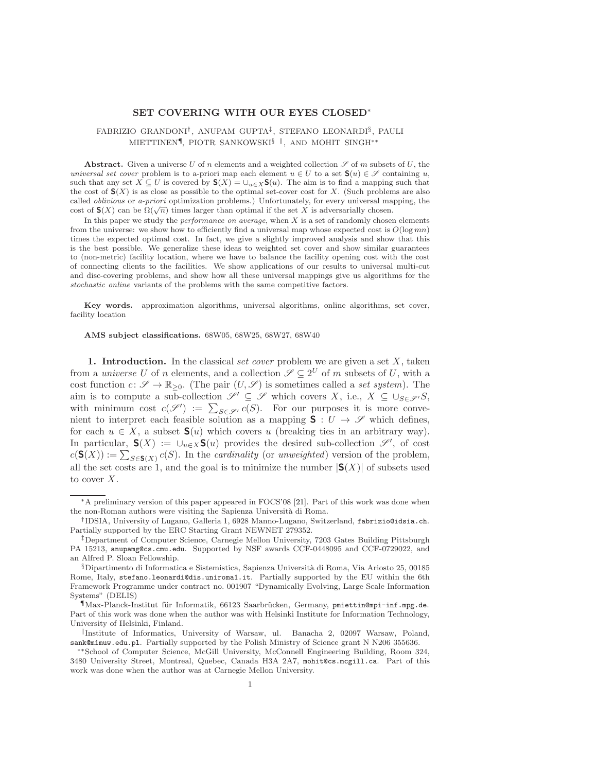### SET COVERING WITH OUR EYES CLOSED∗

# FABRIZIO GRANDONI† , ANUPAM GUPTA‡ , STEFANO LEONARDI§ , PAULI MIETTINEN¶, PIOTR SANKOWSKI<sup>§ ||</sup>, AND MOHIT SINGH<sup>∗</sup>\*

Abstract. Given a universe U of n elements and a weighted collection  $\mathscr S$  of m subsets of U, the universal set cover problem is to a-priori map each element  $u \in U$  to a set  $\mathbf{S}(u) \in \mathscr{S}$  containing u, such that any set  $X \subseteq U$  is covered by  $\mathbf{S}(X) = \bigcup_{u \in X} \mathbf{S}(u)$ . The aim is to find a mapping such that the cost of  $\mathbf{S}(X)$  is as close as possible to the optimal set-cover cost for X. (Such problems are also called oblivious or a-priori optimization problems.) Unfortunately, for every universal mapping, the cost of  $\mathbf{S}(X)$  can be  $\Omega(\sqrt{n})$  times larger than optimal if the set X is adversarially chosen.

In this paper we study the *performance on average*, when  $X$  is a set of randomly chosen elements from the universe: we show how to efficiently find a universal map whose expected cost is  $O(\log mn)$ times the expected optimal cost. In fact, we give a slightly improved analysis and show that this is the best possible. We generalize these ideas to weighted set cover and show similar guarantees to (non-metric) facility location, where we have to balance the facility opening cost with the cost of connecting clients to the facilities. We show applications of our results to universal multi-cut and disc-covering problems, and show how all these universal mappings give us algorithms for the stochastic online variants of the problems with the same competitive factors.

Key words. approximation algorithms, universal algorithms, online algorithms, set cover, facility location

#### AMS subject classifications. 68W05, 68W25, 68W27, 68W40

1. Introduction. In the classical set cover problem we are given a set  $X$ , taken from a *universe U* of *n* elements, and a collection  $\mathscr{S} \subseteq 2^U$  of *m* subsets of U, with a cost function  $c: \mathscr{S} \to \mathbb{R}_{\geq 0}$ . (The pair  $(U, \mathscr{S})$  is sometimes called a set system). The aim is to compute a sub-collection  $\mathscr{S}' \subseteq \mathscr{S}$  which covers X, i.e.,  $X \subseteq \cup_{S \in \mathscr{S}'} S$ , with minimum cost  $c(\mathscr{S}') := \sum_{S \in \mathscr{S}'} c(S)$ . For our purposes it is more convenient to interpret each feasible solution as a mapping  $S: U \to \mathscr{S}$  which defines, for each  $u \in X$ , a subset  $\mathbf{S}(u)$  which covers u (breaking ties in an arbitrary way). In particular,  $\mathsf{S}(X) := \bigcup_{u \in X} \mathsf{S}(u)$  provides the desired sub-collection  $\mathscr{S}'$ , of cost  $c(\mathbf{S}(X)) := \sum_{S \in \mathbf{S}(X)} c(S)$ . In the *cardinality* (or *unweighted*) version of the problem, all the set costs are 1, and the goal is to minimize the number  $|S(X)|$  of subsets used to cover X.

<sup>∗</sup>A preliminary version of this paper appeared in FOCS'08 [21]. Part of this work was done when the non-Roman authors were visiting the Sapienza Università di Roma.

<sup>†</sup> IDSIA, University of Lugano, Galleria 1, 6928 Manno-Lugano, Switzerland, fabrizio@idsia.ch. Partially supported by the ERC Starting Grant NEWNET 279352.

<sup>‡</sup>Department of Computer Science, Carnegie Mellon University, 7203 Gates Building Pittsburgh PA 15213, anupamg@cs.cmu.edu. Supported by NSF awards CCF-0448095 and CCF-0729022, and an Alfred P. Sloan Fellowship.

 $\S$ Dipartimento di Informatica e Sistemistica, Sapienza Università di Roma, Via Ariosto 25, 00185 Rome, Italy, stefano.leonardi@dis.uniroma1.it. Partially supported by the EU within the 6th Framework Programme under contract no. 001907 "Dynamically Evolving, Large Scale Information Systems" (DELIS)

<sup>¶</sup>Max-Planck-Institut f¨ur Informatik, 66123 Saarbr¨ucken, Germany, pmiettin@mpi-inf.mpg.de. Part of this work was done when the author was with Helsinki Institute for Information Technology, University of Helsinki, Finland.

k Institute of Informatics, University of Warsaw, ul. Banacha 2, 02097 Warsaw, Poland, sank@mimuw.edu.pl. Partially supported by the Polish Ministry of Science grant N N206 355636.

<sup>∗∗</sup>School of Computer Science, McGill University, McConnell Engineering Building, Room 324, 3480 University Street, Montreal, Quebec, Canada H3A 2A7, mohit@cs.mcgill.ca. Part of this work was done when the author was at Carnegie Mellon University.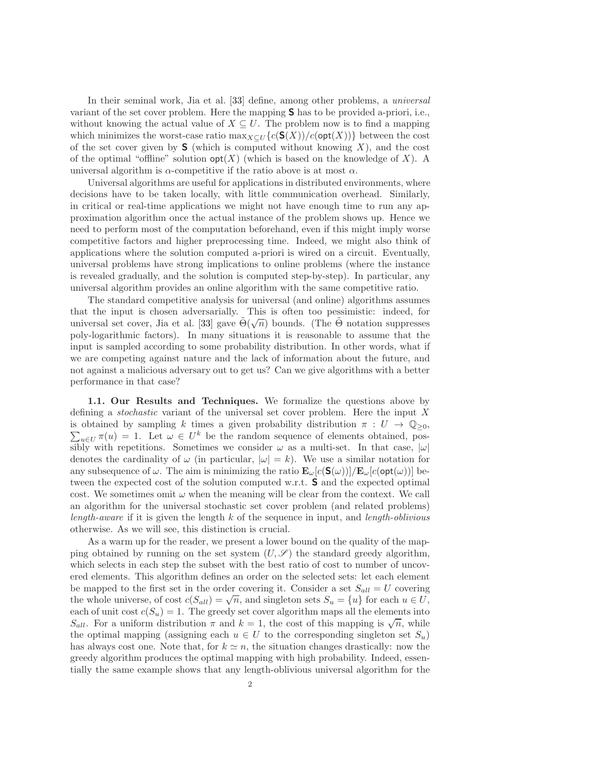In their seminal work, Jia et al. [33] define, among other problems, a *universal* variant of the set cover problem. Here the mapping S has to be provided a-priori, i.e., without knowing the actual value of  $X \subseteq U$ . The problem now is to find a mapping which minimizes the worst-case ratio  $\max_{X\subseteq U} \{c(S(X))/c(\textsf{opt}(X))\}$  between the cost of the set cover given by  $S$  (which is computed without knowing X), and the cost of the optimal "offline" solution  $opt(X)$  (which is based on the knowledge of X). A universal algorithm is  $\alpha$ -competitive if the ratio above is at most  $\alpha$ .

Universal algorithms are useful for applications in distributed environments, where decisions have to be taken locally, with little communication overhead. Similarly, in critical or real-time applications we might not have enough time to run any approximation algorithm once the actual instance of the problem shows up. Hence we need to perform most of the computation beforehand, even if this might imply worse competitive factors and higher preprocessing time. Indeed, we might also think of applications where the solution computed a-priori is wired on a circuit. Eventually, universal problems have strong implications to online problems (where the instance is revealed gradually, and the solution is computed step-by-step). In particular, any universal algorithm provides an online algorithm with the same competitive ratio.

The standard competitive analysis for universal (and online) algorithms assumes that the input is chosen adversarially. This is often too pessimistic: indeed, for universal set cover, Jia et al. [33] gave  $\tilde{\Theta}(\sqrt{n})$  bounds. (The  $\tilde{\Theta}$  notation suppresses poly-logarithmic factors). In many situations it is reasonable to assume that the input is sampled according to some probability distribution. In other words, what if we are competing against nature and the lack of information about the future, and not against a malicious adversary out to get us? Can we give algorithms with a better performance in that case?

1.1. Our Results and Techniques. We formalize the questions above by defining a stochastic variant of the universal set cover problem. Here the input X  $\sum_{u \in U} \pi(u) = 1$ . Let  $\omega \in U^k$  be the random sequence of elements obtained, posis obtained by sampling k times a given probability distribution  $\pi : U \to \mathbb{Q}_{\geq 0}$ , sibly with repetitions. Sometimes we consider  $\omega$  as a multi-set. In that case,  $|\omega|$ denotes the cardinality of  $\omega$  (in particular,  $|\omega| = k$ ). We use a similar notation for any subsequence of  $\omega$ . The aim is minimizing the ratio  $\mathbf{E}_{\omega}[c(\mathbf{S}(\omega))]/\mathbf{E}_{\omega}[c(\text{opt}(\omega))]$  between the expected cost of the solution computed w.r.t. S and the expected optimal cost. We sometimes omit  $\omega$  when the meaning will be clear from the context. We call an algorithm for the universal stochastic set cover problem (and related problems) length-aware if it is given the length k of the sequence in input, and length-oblivious otherwise. As we will see, this distinction is crucial.

As a warm up for the reader, we present a lower bound on the quality of the mapping obtained by running on the set system  $(U, \mathscr{S})$  the standard greedy algorithm, which selects in each step the subset with the best ratio of cost to number of uncovered elements. This algorithm defines an order on the selected sets: let each element be mapped to the first set in the order covering it. Consider a set  $S_{all} = U$  covering the whole universe, of cost  $c(S_{all}) = \sqrt{n}$ , and singleton sets  $S_u = \{u\}$  for each  $u \in U$ , each of unit cost  $c(S_u) = 1$ . The greedy set cover algorithm maps all the elements into S<sub>all</sub>. For a uniform distribution  $\pi$  and  $k = 1$ , the cost of this mapping is  $\sqrt{n}$ , while the optimal mapping (assigning each  $u \in U$  to the corresponding singleton set  $S_u$ ) has always cost one. Note that, for  $k \simeq n$ , the situation changes drastically: now the greedy algorithm produces the optimal mapping with high probability. Indeed, essentially the same example shows that any length-oblivious universal algorithm for the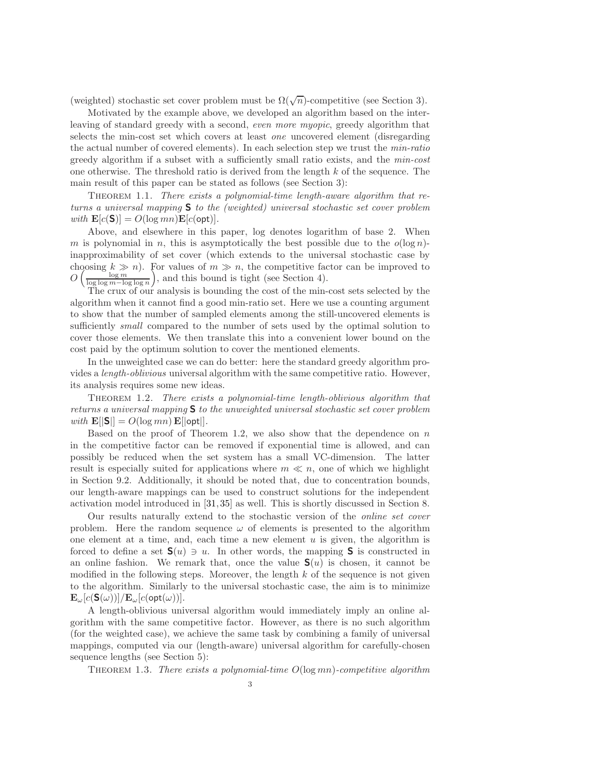(weighted) stochastic set cover problem must be  $\Omega(\sqrt{n})$ -competitive (see Section 3).

Motivated by the example above, we developed an algorithm based on the interleaving of standard greedy with a second, even more myopic, greedy algorithm that selects the min-cost set which covers at least one uncovered element (disregarding the actual number of covered elements). In each selection step we trust the min-ratio greedy algorithm if a subset with a sufficiently small ratio exists, and the min-cost one otherwise. The threshold ratio is derived from the length k of the sequence. The main result of this paper can be stated as follows (see Section 3):

Theorem 1.1. There exists a polynomial-time length-aware algorithm that returns a universal mapping S to the (weighted) universal stochastic set cover problem with  $\mathbf{E}[c(\mathbf{S})] = O(\log mn) \mathbf{E}[c(\text{opt})]$ .

Above, and elsewhere in this paper, log denotes logarithm of base 2. When m is polynomial in n, this is asymptotically the best possible due to the  $o(\log n)$ inapproximability of set cover (which extends to the universal stochastic case by choosing  $k \gg n$ ). For values of  $m \gg n$ , the competitive factor can be improved to  $O\left(\frac{\log m}{\log\log m - \log\log n}\right)$ , and this bound is tight (see Section 4).

The crux of our analysis is bounding the cost of the min-cost sets selected by the algorithm when it cannot find a good min-ratio set. Here we use a counting argument to show that the number of sampled elements among the still-uncovered elements is sufficiently *small* compared to the number of sets used by the optimal solution to cover those elements. We then translate this into a convenient lower bound on the cost paid by the optimum solution to cover the mentioned elements.

In the unweighted case we can do better: here the standard greedy algorithm provides a length-oblivious universal algorithm with the same competitive ratio. However, its analysis requires some new ideas.

Theorem 1.2. There exists a polynomial-time length-oblivious algorithm that returns a universal mapping S to the unweighted universal stochastic set cover problem with  $\mathbf{E}[|\mathbf{S}|] = O(\log mn) \mathbf{E}[\text{opt}]$ .

Based on the proof of Theorem 1.2, we also show that the dependence on  $n$ in the competitive factor can be removed if exponential time is allowed, and can possibly be reduced when the set system has a small VC-dimension. The latter result is especially suited for applications where  $m \ll n$ , one of which we highlight in Section 9.2. Additionally, it should be noted that, due to concentration bounds, our length-aware mappings can be used to construct solutions for the independent activation model introduced in [31,35] as well. This is shortly discussed in Section 8.

Our results naturally extend to the stochastic version of the online set cover problem. Here the random sequence  $\omega$  of elements is presented to the algorithm one element at a time, and, each time a new element  $u$  is given, the algorithm is forced to define a set  $\mathbf{S}(u) \ni u$ . In other words, the mapping **S** is constructed in an online fashion. We remark that, once the value  $S(u)$  is chosen, it cannot be modified in the following steps. Moreover, the length  $k$  of the sequence is not given to the algorithm. Similarly to the universal stochastic case, the aim is to minimize  $\mathbf{E}_{\omega}[c(\mathbf{S}(\omega))]/\mathbf{E}_{\omega}[c(\text{opt}(\omega))].$ 

A length-oblivious universal algorithm would immediately imply an online algorithm with the same competitive factor. However, as there is no such algorithm (for the weighted case), we achieve the same task by combining a family of universal mappings, computed via our (length-aware) universal algorithm for carefully-chosen sequence lengths (see Section 5):

THEOREM 1.3. There exists a polynomial-time  $O(\log mn)$ -competitive algorithm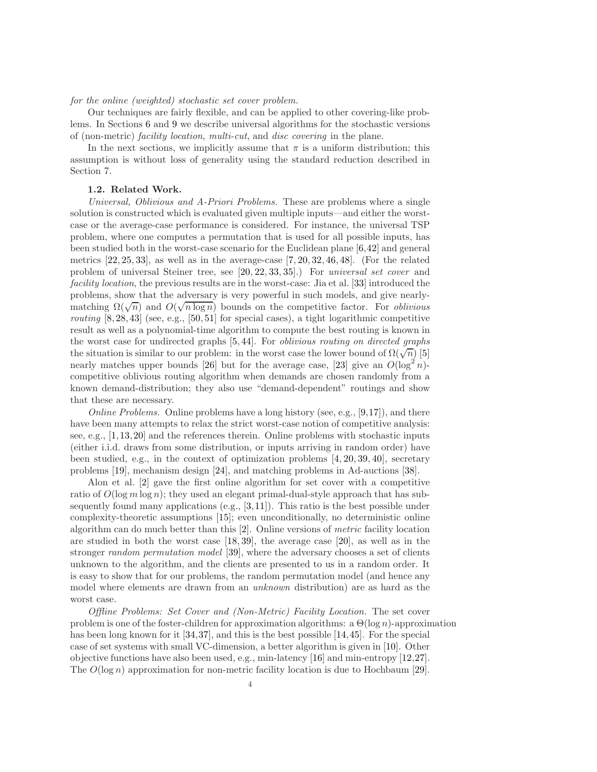## for the online (weighted) stochastic set cover problem.

Our techniques are fairly flexible, and can be applied to other covering-like problems. In Sections 6 and 9 we describe universal algorithms for the stochastic versions of (non-metric) facility location, multi-cut, and disc covering in the plane.

In the next sections, we implicitly assume that  $\pi$  is a uniform distribution; this assumption is without loss of generality using the standard reduction described in Section 7.

### 1.2. Related Work.

Universal, Oblivious and A-Priori Problems. These are problems where a single solution is constructed which is evaluated given multiple inputs—and either the worstcase or the average-case performance is considered. For instance, the universal TSP problem, where one computes a permutation that is used for all possible inputs, has been studied both in the worst-case scenario for the Euclidean plane [6,42] and general metrics  $[22, 25, 33]$ , as well as in the average-case  $[7, 20, 32, 46, 48]$ . (For the related problem of universal Steiner tree, see [20, 22, 33, 35].) For universal set cover and facility location, the previous results are in the worst-case: Jia et al. [33] introduced the problems, show that the adversary is very powerful in such models, and give nearlymatching  $\Omega(\sqrt{n})$  and  $O(\sqrt{n \log n})$  bounds on the competitive factor. For *oblivious* routing  $[8, 28, 43]$  (see, e.g.,  $[50, 51]$  for special cases), a tight logarithmic competitive result as well as a polynomial-time algorithm to compute the best routing is known in the worst case for undirected graphs [5, 44]. For oblivious routing on directed graphs the situation is similar to our problem: in the worst case the lower bound of  $\Omega(\sqrt{n})$  [5] nearly matches upper bounds [26] but for the average case, [23] give an  $O(\log^2 n)$ competitive oblivious routing algorithm when demands are chosen randomly from a known demand-distribution; they also use "demand-dependent" routings and show that these are necessary.

*Online Problems.* Online problems have a long history (see, e.g.,  $[9,17]$ ), and there have been many attempts to relax the strict worst-case notion of competitive analysis: see, e.g., [1,13,20] and the references therein. Online problems with stochastic inputs (either i.i.d. draws from some distribution, or inputs arriving in random order) have been studied, e.g., in the context of optimization problems  $[4, 20, 39, 40]$ , secretary problems [19], mechanism design [24], and matching problems in Ad-auctions [38].

Alon et al. [2] gave the first online algorithm for set cover with a competitive ratio of  $O(\log m \log n)$ ; they used an elegant primal-dual-style approach that has subsequently found many applications (e.g.,  $[3,11]$ ). This ratio is the best possible under complexity-theoretic assumptions [15]; even unconditionally, no deterministic online algorithm can do much better than this [2]. Online versions of metric facility location are studied in both the worst case [18, 39], the average case [20], as well as in the stronger random permutation model [39], where the adversary chooses a set of clients unknown to the algorithm, and the clients are presented to us in a random order. It is easy to show that for our problems, the random permutation model (and hence any model where elements are drawn from an unknown distribution) are as hard as the worst case.

Offline Problems: Set Cover and (Non-Metric) Facility Location. The set cover problem is one of the foster-children for approximation algorithms: a  $\Theta(\log n)$ -approximation has been long known for it [34,37], and this is the best possible [14,45]. For the special case of set systems with small VC-dimension, a better algorithm is given in [10]. Other objective functions have also been used, e.g., min-latency [16] and min-entropy [12,27]. The  $O(\log n)$  approximation for non-metric facility location is due to Hochbaum [29].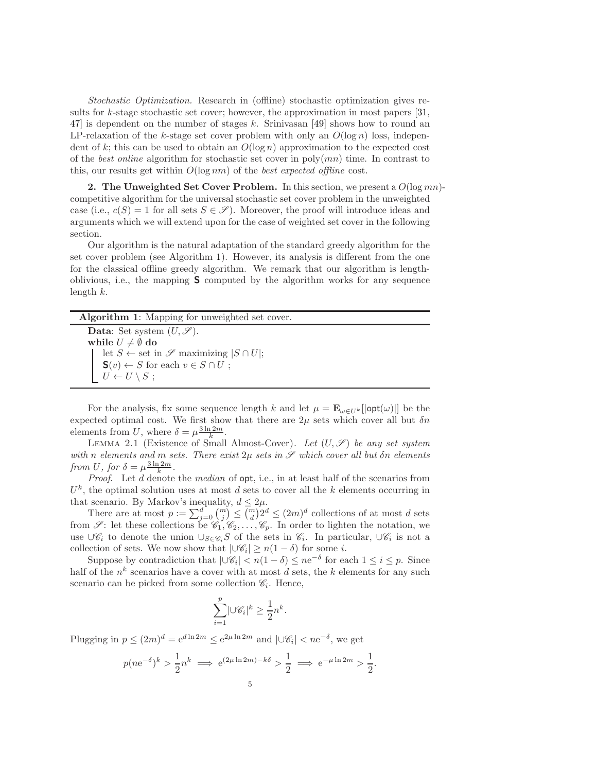Stochastic Optimization. Research in (offline) stochastic optimization gives results for k-stage stochastic set cover; however, the approximation in most papers  $[31,$ 47] is dependent on the number of stages k. Srinivasan [49] shows how to round an LP-relaxation of the k-stage set cover problem with only an  $O(\log n)$  loss, independent of k; this can be used to obtain an  $O(\log n)$  approximation to the expected cost of the best online algorithm for stochastic set cover in poly $(mn)$  time. In contrast to this, our results get within  $O(\log nm)$  of the *best expected offline* cost.

2. The Unweighted Set Cover Problem. In this section, we present a  $O(\log mn)$ competitive algorithm for the universal stochastic set cover problem in the unweighted case (i.e.,  $c(S) = 1$  for all sets  $S \in \mathscr{S}$ ). Moreover, the proof will introduce ideas and arguments which we will extend upon for the case of weighted set cover in the following section.

Our algorithm is the natural adaptation of the standard greedy algorithm for the set cover problem (see Algorithm 1). However, its analysis is different from the one for the classical offline greedy algorithm. We remark that our algorithm is lengthoblivious, i.e., the mapping  $S$  computed by the algorithm works for any sequence length  $k$ .

| <b>Algorithm 1:</b> Mapping for unweighted set cover.            |
|------------------------------------------------------------------|
| <b>Data:</b> Set system $(U, \mathscr{S})$ .                     |
| while $U \neq \emptyset$ do                                      |
| let $S \leftarrow$ set in $\mathscr S$ maximizing $ S \cap U $ ; |
| $\mathbf{S}(v) \leftarrow S$ for each $v \in S \cap U$ ;         |
| $U \leftarrow U \setminus S$ ;                                   |

For the analysis, fix some sequence length k and let  $\mu = \mathbf{E}_{\omega \in U^k} [|\text{opt}(\omega)|]$  be the expected optimal cost. We first show that there are  $2\mu$  sets which cover all but  $\delta n$ elements from U, where  $\delta = \mu \frac{3 \ln 2m}{k}$ .

LEMMA 2.1 (Existence of Small Almost-Cover). Let  $(U, \mathscr{S})$  be any set system with n elements and m sets. There exist  $2\mu$  sets in  $\mathscr S$  which cover all but  $\delta n$  elements from U, for  $\delta = \mu \frac{3 \ln 2m}{k}$ .

Proof. Let d denote the median of  $opt$ , i.e., in at least half of the scenarios from  $U<sup>k</sup>$ , the optimal solution uses at most d sets to cover all the k elements occurring in that scenario. By Markov's inequality,  $d \leq 2\mu$ .

There are at most  $p := \sum_{j=0}^{d} {m \choose j} \leq {m \choose d} 2^d \leq (2m)^d$  collections of at most d sets from  $\mathscr{S}$ : let these collections be  $\mathscr{C}_1, \mathscr{C}_2, \ldots, \mathscr{C}_p$ . In order to lighten the notation, we use ∪ $\mathscr{C}_i$  to denote the union  $\cup_{S\in\mathscr{C}_i}S$  of the sets in  $\mathscr{C}_i$ . In particular, ∪ $\mathscr{C}_i$  is not a collection of sets. We now show that  $|\cup \mathscr{C}_i| \ge n(1-\delta)$  for some *i*.

Suppose by contradiction that  $|\cup \mathscr{C}_i| < n(1-\delta) \leq n e^{-\delta}$  for each  $1 \leq i \leq p$ . Since half of the  $n^k$  scenarios have a cover with at most d sets, the k elements for any such scenario can be picked from some collection  $\mathcal{C}_i$ . Hence,

$$
\sum_{i=1}^p \lvert \cup \mathscr{C}_i \rvert^k \geq \frac{1}{2}n^k.
$$

Plugging in  $p \leq (2m)^d = e^{d \ln 2m} \leq e^{2\mu \ln 2m}$  and  $|\cup \mathscr{C}_i| < n e^{-\delta}$ , we get

$$
p(ne^{-\delta})^k > \frac{1}{2}n^k \implies e^{(2\mu \ln 2m) - k\delta} > \frac{1}{2} \implies e^{-\mu \ln 2m} > \frac{1}{2}
$$

.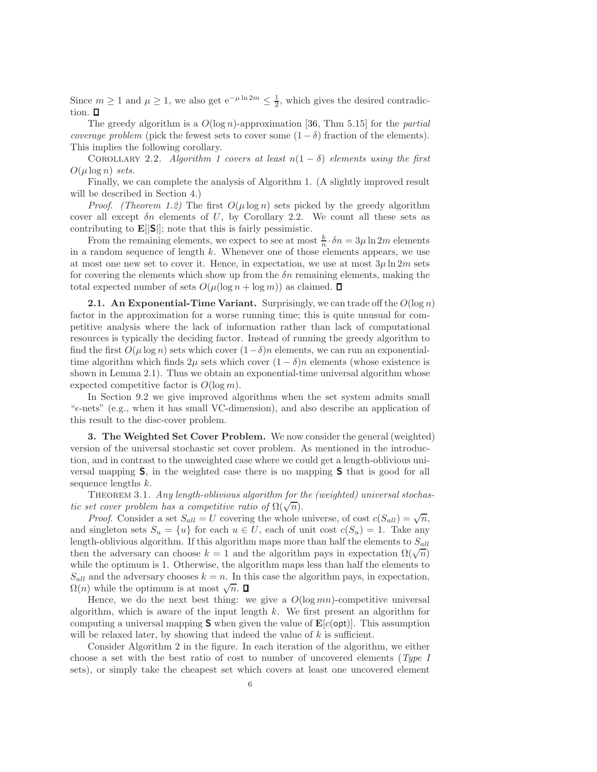Since  $m \geq 1$  and  $\mu \geq 1$ , we also get  $e^{-\mu \ln 2m} \leq \frac{1}{2}$ , which gives the desired contradiction.  $\Box$ 

The greedy algorithm is a  $O(\log n)$ -approximation [36, Thm 5.15] for the *partial* coverage problem (pick the fewest sets to cover some  $(1 - \delta)$  fraction of the elements). This implies the following corollary.

COROLLARY 2.2. Algorithm 1 covers at least  $n(1 - \delta)$  elements using the first  $O(\mu \log n)$  sets.

Finally, we can complete the analysis of Algorithm 1. (A slightly improved result will be described in Section 4.)

*Proof.* (Theorem 1.2) The first  $O(\mu \log n)$  sets picked by the greedy algorithm cover all except  $\delta n$  elements of U, by Corollary 2.2. We count all these sets as contributing to  $\mathbf{E}[\vert \mathbf{S} \vert]$ ; note that this is fairly pessimistic.

From the remaining elements, we expect to see at most  $\frac{k}{n} \cdot \delta n = 3\mu \ln 2m$  elements in a random sequence of length  $k$ . Whenever one of those elements appears, we use at most one new set to cover it. Hence, in expectation, we use at most  $3\mu \ln 2m$  sets for covering the elements which show up from the  $\delta n$  remaining elements, making the total expected number of sets  $O(\mu(\log n + \log m))$  as claimed.  $\Box$ 

**2.1.** An Exponential-Time Variant. Surprisingly, we can trade off the  $O(\log n)$ factor in the approximation for a worse running time; this is quite unusual for competitive analysis where the lack of information rather than lack of computational resources is typically the deciding factor. Instead of running the greedy algorithm to find the first  $O(\mu \log n)$  sets which cover  $(1-\delta)n$  elements, we can run an exponentialtime algorithm which finds  $2\mu$  sets which cover  $(1 - \delta)n$  elements (whose existence is shown in Lemma 2.1). Thus we obtain an exponential-time universal algorithm whose expected competitive factor is  $O(\log m)$ .

In Section 9.2 we give improved algorithms when the set system admits small " $\epsilon$ -nets" (e.g., when it has small VC-dimension), and also describe an application of this result to the disc-cover problem.

3. The Weighted Set Cover Problem. We now consider the general (weighted) version of the universal stochastic set cover problem. As mentioned in the introduction, and in contrast to the unweighted case where we could get a length-oblivious universal mapping S, in the weighted case there is no mapping S that is good for all sequence lengths k.

THEOREM 3.1. Any length-oblivious algorithm for the (weighted) universal stochastic set cover problem has a competitive ratio of  $\Omega(\sqrt{n})$ .

*Proof.* Consider a set  $S_{all} = U$  covering the whole universe, of cost  $c(S_{all}) = \sqrt{n}$ , and singleton sets  $S_u = \{u\}$  for each  $u \in U$ , each of unit cost  $c(S_u) = 1$ . Take any length-oblivious algorithm. If this algorithm maps more than half the elements to  $S_{all}$ then the adversary can choose  $k = 1$  and the algorithm pays in expectation  $\Omega(\sqrt{n})$ while the optimum is 1. Otherwise, the algorithm maps less than half the elements to  $S_{all}$  and the adversary chooses  $k = n$ . In this case the algorithm pays, in expectation,  $\Omega(n)$  while the optimum is at most  $\sqrt{n}$ .

Hence, we do the next best thing: we give a  $O(\log mn)$ -competitive universal algorithm, which is aware of the input length  $k$ . We first present an algorithm for computing a universal mapping **S** when given the value of  $\mathbf{E}[c(\text{opt})]$ . This assumption will be relaxed later, by showing that indeed the value of  $k$  is sufficient.

Consider Algorithm 2 in the figure. In each iteration of the algorithm, we either choose a set with the best ratio of cost to number of uncovered elements (Type I sets), or simply take the cheapest set which covers at least one uncovered element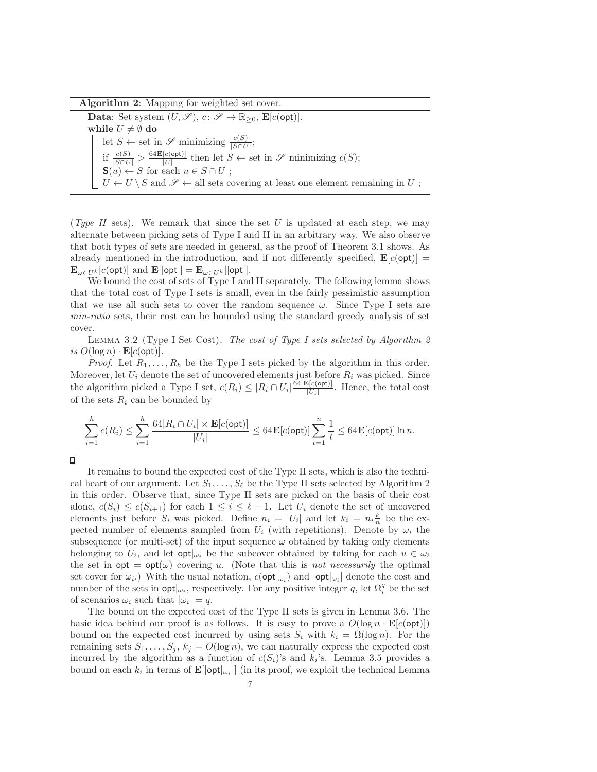Algorithm 2: Mapping for weighted set cover.

Data: Set system  $(U, \mathscr{S}), c \colon \mathscr{S} \to \mathbb{R}_{\geq 0}, \mathbf{E}[c(\textsf{opt})].$ while  $U \neq \emptyset$  do let  $S \leftarrow$  set in  $\mathscr{S}$  minimizing  $\frac{c(S)}{|S \cap U|}$ ; if  $\frac{c(S)}{|S\cap U|} > \frac{64\mathbf{E}[c(\text{opt})]}{|U|}$  $\frac{[c(\text{opt})]}{[U]}$  then let  $S \leftarrow \text{set in } \mathscr{S}$  minimizing  $c(S)$ ;  $\mathbf{S}(u) \leftarrow S$  for each  $u \in S \cap U$ ;  $U \leftarrow U \setminus S$  and  $\mathscr{S} \leftarrow$  all sets covering at least one element remaining in U;

(Type II sets). We remark that since the set U is updated at each step, we may alternate between picking sets of Type I and II in an arbitrary way. We also observe that both types of sets are needed in general, as the proof of Theorem 3.1 shows. As already mentioned in the introduction, and if not differently specified,  $\mathbf{E}[c(\text{opt})] =$  $\mathbf{E}_{\omega \in U^{k}}[c(\textsf{opt})]$  and  $\mathbf{E}[|\textsf{opt}|] = \mathbf{E}_{\omega \in U^{k}}[|\textsf{opt}|].$ 

We bound the cost of sets of Type I and II separately. The following lemma shows that the total cost of Type I sets is small, even in the fairly pessimistic assumption that we use all such sets to cover the random sequence  $\omega$ . Since Type I sets are min-ratio sets, their cost can be bounded using the standard greedy analysis of set cover.

LEMMA 3.2 (Type I Set Cost). The cost of Type I sets selected by Algorithm 2 is  $O(\log n) \cdot \mathbf{E}[c(\textsf{opt})]$ .

*Proof.* Let  $R_1, \ldots, R_h$  be the Type I sets picked by the algorithm in this order. Moreover, let  $U_i$  denote the set of uncovered elements just before  $R_i$  was picked. Since the algorithm picked a Type I set,  $c(R_i) \leq |R_i \cap U_i| \frac{64 \mathbf{E}[c(\text{opt})]}{|U_i|}$  $\frac{\mathcal{L}[\mathcal{C}(\text{opt})]}{|U_i|}$ . Hence, the total cost of the sets  $R_i$  can be bounded by

$$
\sum_{i=1}^h c(R_i) \leq \sum_{i=1}^h \frac{64|R_i \cap U_i| \times \mathbf{E}[c(\mathsf{opt})]}{|U_i|} \leq 64\mathbf{E}[c(\mathsf{opt})] \sum_{t=1}^n \frac{1}{t} \leq 64\mathbf{E}[c(\mathsf{opt})] \ln n.
$$

 $\Box$ 

It remains to bound the expected cost of the Type II sets, which is also the technical heart of our argument. Let  $S_1, \ldots, S_\ell$  be the Type II sets selected by Algorithm 2 in this order. Observe that, since Type II sets are picked on the basis of their cost alone,  $c(S_i) \leq c(S_{i+1})$  for each  $1 \leq i \leq \ell - 1$ . Let  $U_i$  denote the set of uncovered elements just before  $S_i$  was picked. Define  $n_i = |U_i|$  and let  $k_i = n_i \frac{k}{n}$  be the expected number of elements sampled from  $U_i$  (with repetitions). Denote by  $\omega_i$  the subsequence (or multi-set) of the input sequence  $\omega$  obtained by taking only elements belonging to  $U_i$ , and let  $\text{opt}|_{\omega_i}$  be the subcover obtained by taking for each  $u \in \omega_i$ the set in  $opt = opt(\omega)$  covering u. (Note that this is not necessarily the optimal set cover for  $\omega_i$ .) With the usual notation,  $c(\text{opt}|_{\omega_i})$  and  $|\text{opt}|_{\omega_i}|$  denote the cost and number of the sets in  $\text{opt}|_{\omega_i}$ , respectively. For any positive integer q, let  $\Omega_i^q$  be the set of scenarios  $\omega_i$  such that  $|\omega_i| = q$ .

The bound on the expected cost of the Type II sets is given in Lemma 3.6. The basic idea behind our proof is as follows. It is easy to prove a  $O(\log n \cdot \mathbf{E}[c(\text{opt})])$ bound on the expected cost incurred by using sets  $S_i$  with  $k_i = \Omega(\log n)$ . For the remaining sets  $S_1, \ldots, S_j, k_j = O(\log n)$ , we can naturally express the expected cost incurred by the algorithm as a function of  $c(S_i)$ 's and  $k_i$ 's. Lemma 3.5 provides a bound on each  $k_i$  in terms of  $\mathbf{E}[\vert \mathsf{opt} \vert_{\omega_i}]]$  (in its proof, we exploit the technical Lemma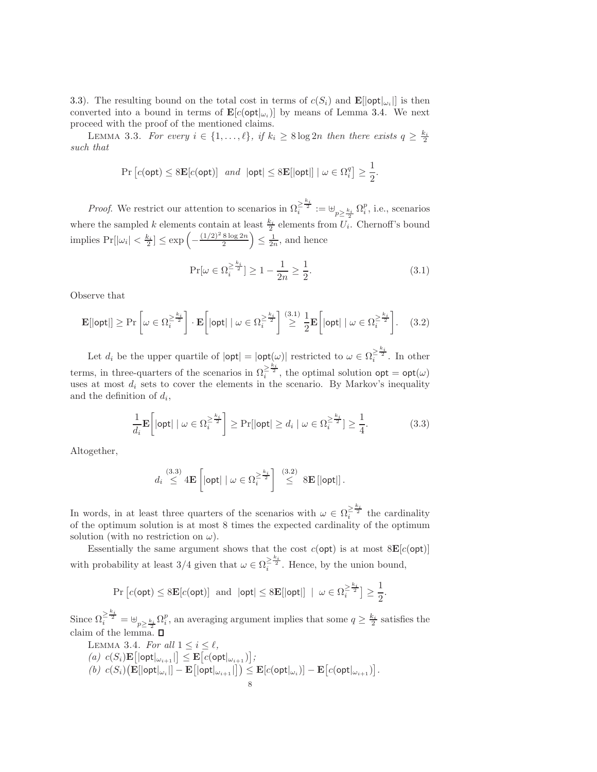3.3). The resulting bound on the total cost in terms of  $c(S_i)$  and  $\mathbf{E}[\text{opt}|_{\omega_i}]$  is then converted into a bound in terms of  $\mathbf{E}[c(\text{opt}|_{\omega_i})]$  by means of Lemma 3.4. We next proceed with the proof of the mentioned claims.

LEMMA 3.3. For every  $i \in \{1, ..., \ell\}$ , if  $k_i \geq 8 \log 2n$  then there exists  $q \geq \frac{k_i}{2}$ such that

$$
\Pr\left[c(\textsf{opt}) \le 8\mathbf{E}[c(\textsf{opt})] \text{ and } |\textsf{opt}| \le 8\mathbf{E}[|\textsf{opt}|] \mid \omega \in \Omega_i^q\right] \ge \frac{1}{2}.
$$

*Proof.* We restrict our attention to scenarios in  $\Omega_i^{\geq \frac{k_i}{2}} := \biguplus_{p \geq \frac{k_i}{2}} \Omega_i^p$ , i.e., scenarios where the sampled k elements contain at least  $\frac{k_i}{2}$  elements from  $U_i$ . Chernoff's bound implies  $Pr[|\omega_i| < \frac{k_i}{2}] \leq \exp\left(-\frac{(1/2)^2 8 \log 2n}{2}\right)$  $\frac{8 \log 2n}{2}$   $\leq \frac{1}{2n}$ , and hence

$$
\Pr[\omega \in \Omega_i^{\ge \frac{k_i}{2}}] \ge 1 - \frac{1}{2n} \ge \frac{1}{2}.\tag{3.1}
$$

Observe that

$$
\mathbf{E}[|\text{opt}|] \ge \Pr\left[\omega \in \Omega_i^{\ge \frac{k_i}{2}}\right] \cdot \mathbf{E}\left[|\text{opt}| \mid \omega \in \Omega_i^{\ge \frac{k_i}{2}}\right] \stackrel{(3.1)}{\ge} \frac{1}{2} \mathbf{E}\left[|\text{opt}| \mid \omega \in \Omega_i^{\ge \frac{k_i}{2}}\right].\tag{3.2}
$$

Let  $d_i$  be the upper quartile of  $|\text{opt}| = |\text{opt}(\omega)|$  restricted to  $\omega \in \Omega_i^{\geq \frac{k_i}{2}}$ . In other terms, in three-quarters of the scenarios in  $\Omega_i^{\geq \frac{k_i}{2}}$ , the optimal solution  $\mathsf{opt} = \mathsf{opt}(\omega)$ uses at most  $d_i$  sets to cover the elements in the scenario. By Markov's inequality and the definition of  $d_i$ ,

$$
\frac{1}{d_i} \mathbf{E}\left[\text{opt} \mid \omega \in \Omega_i^{\geq \frac{k_i}{2}}\right] \geq \Pr[\text{opt}| \geq d_i \mid \omega \in \Omega_i^{\geq \frac{k_i}{2}}] \geq \frac{1}{4}.\tag{3.3}
$$

Altogether,

$$
d_i \stackrel{(3.3)}{\leq} 4\mathbf{E}\left[\left|\mathsf{opt}\right| \mid \omega \in \Omega_i^{\geq \frac{k_i}{2}}\right] \stackrel{(3.2)}{\leq} 8\mathbf{E}\left[\left|\mathsf{opt}\right|\right].
$$

In words, in at least three quarters of the scenarios with  $\omega \in \Omega_i^{\geq \frac{k_i}{2}}$  the cardinality of the optimum solution is at most 8 times the expected cardinality of the optimum solution (with no restriction on  $\omega$ ).

Essentially the same argument shows that the cost  $c$ (opt) is at most  $8E[c(opt)]$ with probability at least 3/4 given that  $\omega \in \Omega_i^{\geq \frac{k_i}{2}}$ . Hence, by the union bound,

$$
\Pr\left[c(\textsf{opt})\leq 8\mathbf{E}[c(\textsf{opt})]\text{ and }|\textsf{opt}|\leq 8\mathbf{E}[|\textsf{opt}|]\ |\ \omega\in\Omega_i^{\geq \frac{k_i}{2}}\right]\geq \frac{1}{2}.
$$

Since  $\Omega_i^{\geq \frac{k_i}{2}} = \biguplus_{p \geq \frac{k_i}{2}} \Omega_i^p$ , an averaging argument implies that some  $q \geq \frac{k_i}{2}$  satisfies the claim of the lemma.

LEMMA 3.4. For all  $1 \leq i \leq \ell$ ,  $(a) \ c(S_i) \mathbf{E} [\vert \mathsf{opt} \vert_{\omega_{i+1}}] \leq \mathbf{E} [c(\mathsf{opt} \vert_{\omega_{i+1}})],$  $(b) \ \ c(S_i) \big(\mathbf{E}[|\mathsf{opt}|_{\omega_i}|] - \mathbf{E}\big[|\mathsf{opt}|_{\omega_{i+1}}|\big]\big) \leq \mathbf{E}[c(\mathsf{opt}|_{\omega_i})] - \mathbf{E}\big[c(\mathsf{opt}|_{\omega_{i+1}})\big].$ 8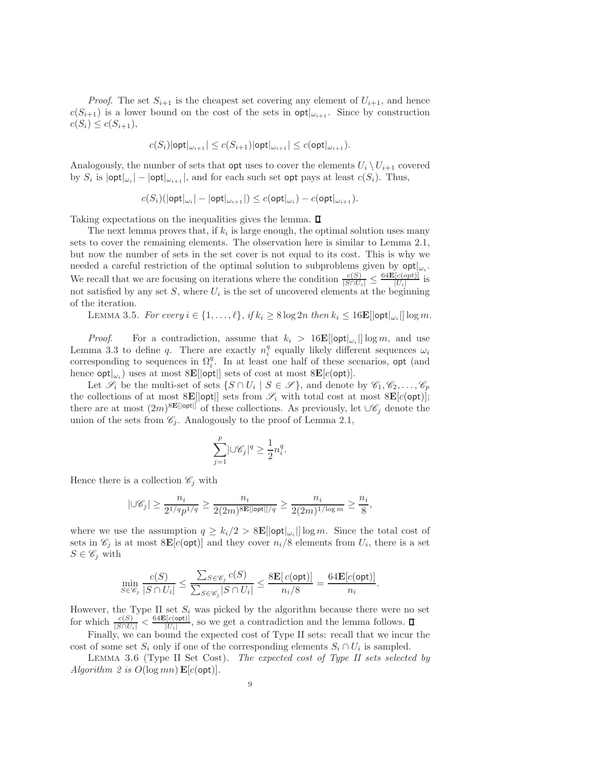*Proof.* The set  $S_{i+1}$  is the cheapest set covering any element of  $U_{i+1}$ , and hence  $c(S_{i+1})$  is a lower bound on the cost of the sets in  $\mathsf{opt}|_{\omega_{i+1}}$ . Since by construction  $c(S_i) \leq c(S_{i+1}),$ 

$$
c(S_i)|\mathsf{opt}|_{\omega_{i+1}}| \leq c(S_{i+1})|\mathsf{opt}|_{\omega_{i+1}}| \leq c(\mathsf{opt}|_{\omega_{i+1}}).
$$

Analogously, the number of sets that **opt** uses to cover the elements  $U_i \setminus U_{i+1}$  covered by  $S_i$  is  $|\textsf{opt}|_{\omega_i}| - |\textsf{opt}|_{\omega_{i+1}}|$ , and for each such set opt pays at least  $c(S_i)$ . Thus,

$$
c(S_i)(\vert \mathsf{opt}\vert_{\omega_i} \vert - \vert \mathsf{opt}\vert_{\omega_{i+1}} \vert) \leq c(\mathsf{opt}\vert_{\omega_i}) - c(\mathsf{opt}\vert_{\omega_{i+1}}).
$$

Taking expectations on the inequalities gives the lemma.

The next lemma proves that, if  $k_i$  is large enough, the optimal solution uses many sets to cover the remaining elements. The observation here is similar to Lemma 2.1, but now the number of sets in the set cover is not equal to its cost. This is why we needed a careful restriction of the optimal solution to subproblems given by  $\mathsf{opt}|_{\omega_i}$ . We recall that we are focusing on iterations where the condition  $\frac{c(S)}{|S \cap U_i|} \leq \frac{64\mathbf{E}[c(opt)]}{|U_i|}$  $\frac{|c(op_t)|}{|U_i|}$  is not satisfied by any set  $S$ , where  $U_i$  is the set of uncovered elements at the beginning of the iteration.

LEMMA 3.5. For every  $i \in \{1, ..., \ell\}$ , if  $k_i \geq 8 \log 2n$  then  $k_i \leq 16\mathbf{E}[\mathsf{opt}|_{\omega_i}]\log m$ .

*Proof.* For a contradiction, assume that  $k_i > 16E[|opt|_{\omega_i}|] \log m$ , and use Lemma 3.3 to define q. There are exactly  $n_i^q$  equally likely different sequences  $\omega_i$ corresponding to sequences in  $\Omega_i^q$ . In at least one half of these scenarios, opt (and hence  $\mathsf{opt}|_{\omega_i}$ ) uses at most  $8 \mathbf{E}[| \mathsf{opt}|]$  sets of cost at most  $8 \mathbf{E}[c(\mathsf{opt})]$ .

Let  $\mathscr{S}_i$  be the multi-set of sets  $\{S \cap U_i \mid S \in \mathscr{S}\}$ , and denote by  $\mathscr{C}_1, \mathscr{C}_2, \ldots, \mathscr{C}_p$ the collections of at most  $8E[|opt|]$  sets from  $\mathscr{S}_i$  with total cost at most  $8E[c(opt)]$ ; there are at most  $(2m)^{8\mathbf{E}[|opt|]}$  of these collections. As previously, let  $\cup \mathscr{C}_j$  denote the union of the sets from  $\mathscr{C}_j$ . Analogously to the proof of Lemma 2.1,

$$
\sum_{j=1}^p \lvert \cup \mathscr{C}_j \rvert^q \geq \frac{1}{2} n_i^q.
$$

Hence there is a collection  $\mathscr{C}_j$  with

$$
|\cup \mathscr{C}_j|\geq \frac{n_i}{2^{1/q}p^{1/q}}\geq \frac{n_i}{2(2m)^{8\mathbf{E}[|\mathsf{opt}|]/q}}\geq \frac{n_i}{2(2m)^{1/\log m}}\geq \frac{n_i}{8},
$$

where we use the assumption  $q \geq k_i/2 > 8$ **E** $[|opt|_{\omega_i}|]$  log m. Since the total cost of sets in  $\mathscr{C}_j$  is at most  $8\mathbf{E}[c(\text{opt})]$  and they cover  $n_i/8$  elements from  $U_i$ , there is a set  $S \in \mathscr{C}_i$  with

$$
\min_{S \in \mathscr{C}_j} \frac{c(S)}{|S \cap U_i|} \le \frac{\sum_{S \in \mathscr{C}_j} c(S)}{\sum_{S \in \mathscr{C}_j} |S \cap U_i|} \le \frac{8 \mathbf{E}[c(\mathsf{opt})]}{n_i/8} = \frac{64 \mathbf{E}[c(\mathsf{opt})]}{n_i}.
$$

However, the Type II set  $S_i$  was picked by the algorithm because there were no set for which  $\frac{c(S)}{|S \cap U_i|} < \frac{64 \mathbf{E}[c(\text{opt})]}{|U_i|}$  $\frac{U^{[C(\text{Opt})]}}{|U_i|}$ , so we get a contradiction and the lemma follows.

Finally, we can bound the expected cost of Type II sets: recall that we incur the cost of some set  $S_i$  only if one of the corresponding elements  $S_i \cap U_i$  is sampled.

LEMMA 3.6 (Type II Set Cost). The expected cost of Type II sets selected by Algorithm 2 is  $O(\log mn)$   $\mathbf{E}[c(\text{opt})]$ .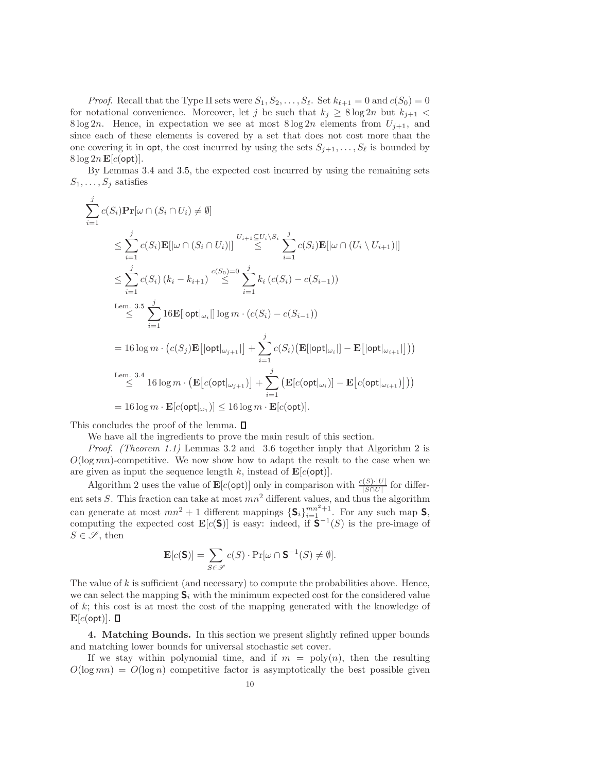*Proof.* Recall that the Type II sets were  $S_1, S_2, \ldots, S_\ell$ . Set  $k_{\ell+1} = 0$  and  $c(S_0) = 0$ for notational convenience. Moreover, let j be such that  $k_j \geq 8 \log 2n$  but  $k_{j+1}$  < 8 log 2n. Hence, in expectation we see at most  $8 \log 2n$  elements from  $U_{j+1}$ , and since each of these elements is covered by a set that does not cost more than the one covering it in opt, the cost incurred by using the sets  $S_{j+1}, \ldots, S_\ell$  is bounded by  $8 \log 2n \mathbf{E}[c(\text{opt})].$ 

By Lemmas 3.4 and 3.5, the expected cost incurred by using the remaining sets  $S_1, \ldots, S_j$  satisfies

$$
\sum_{i=1}^{j} c(S_i) \mathbf{Pr}[\omega \cap (S_i \cap U_i) \neq \emptyset]
$$
\n
$$
\leq \sum_{i=1}^{j} c(S_i) \mathbf{E}[\omega \cap (S_i \cap U_i) || \sum_{i=1}^{U_{i+1} \subseteq U_i \setminus S_i} \sum_{i=1}^{j} c(S_i) \mathbf{E}[\omega \cap (U_i \setminus U_{i+1})]]
$$
\n
$$
\leq \sum_{i=1}^{j} c(S_i) (k_i - k_{i+1}) \leq \sum_{i=1}^{c(S_0) = 0} \sum_{i=1}^{j} k_i (c(S_i) - c(S_{i-1}))
$$
\n
$$
\xrightarrow{\text{Lem. 3.5 }} \sum_{i=1}^{j} 16 \mathbf{E}[\text{opt}[\omega_i]] \log m \cdot (c(S_i) - c(S_{i-1}))
$$
\n
$$
= 16 \log m \cdot (c(S_j) \mathbf{E}[\text{opt}[\omega_{j+1}]] + \sum_{i=1}^{j} c(S_i) (\mathbf{E}[\text{opt}[\omega_i]] - \mathbf{E}[\text{opt}[\omega_{i+1}]]))
$$
\n
$$
\xrightarrow{\text{Lem. 3.4 }} 16 \log m \cdot (\mathbf{E}[c(\text{opt}[\omega_{j+1})] + \sum_{i=1}^{j} (\mathbf{E}[c(\text{opt}[\omega_i)] - \mathbf{E}[c(\text{opt}[\omega_{i+1})]]))
$$
\n
$$
= 16 \log m \cdot \mathbf{E}[c(\text{opt}[\omega_1)] \leq 16 \log m \cdot \mathbf{E}[c(\text{opt})].
$$

This concludes the proof of the lemma.  $\square$ 

We have all the ingredients to prove the main result of this section.

Proof. (Theorem 1.1) Lemmas 3.2 and 3.6 together imply that Algorithm 2 is  $O(\log mn)$ -competitive. We now show how to adapt the result to the case when we are given as input the sequence length k, instead of  $\mathbf{E}[c(\text{opt})]$ .

Algorithm 2 uses the value of  $\mathbf{E}[c(\text{opt})]$  only in comparison with  $\frac{c(S) \cdot |U|}{|S \cap U|}$  for different sets S. This fraction can take at most  $mn^2$  different values, and thus the algorithm can generate at most  $mn^2 + 1$  different mappings  $\{\mathbf{S}_i\}_{i=1}^{mn^2+1}$ . For any such map  $\mathbf{S}_i$ , computing the expected cost  $\mathbf{E}[c(\mathsf{S})]$  is easy: indeed, if  $\mathsf{S}^{-1}(S)$  is the pre-image of  $S \in \mathscr{S}$ , then

$$
\mathbf{E}[c(\mathbf{S})] = \sum_{S \in \mathcal{S}} c(S) \cdot \Pr[\omega \cap \mathbf{S}^{-1}(S) \neq \emptyset].
$$

The value of k is sufficient (and necessary) to compute the probabilities above. Hence, we can select the mapping  $S_i$  with the minimum expected cost for the considered value of  $k$ ; this cost is at most the cost of the mapping generated with the knowledge of  $\mathbf{E}[c(\texttt{opt})]$ .  $\blacksquare$ 

4. Matching Bounds. In this section we present slightly refined upper bounds and matching lower bounds for universal stochastic set cover.

If we stay within polynomial time, and if  $m = \text{poly}(n)$ , then the resulting  $O(\log mn) = O(\log n)$  competitive factor is asymptotically the best possible given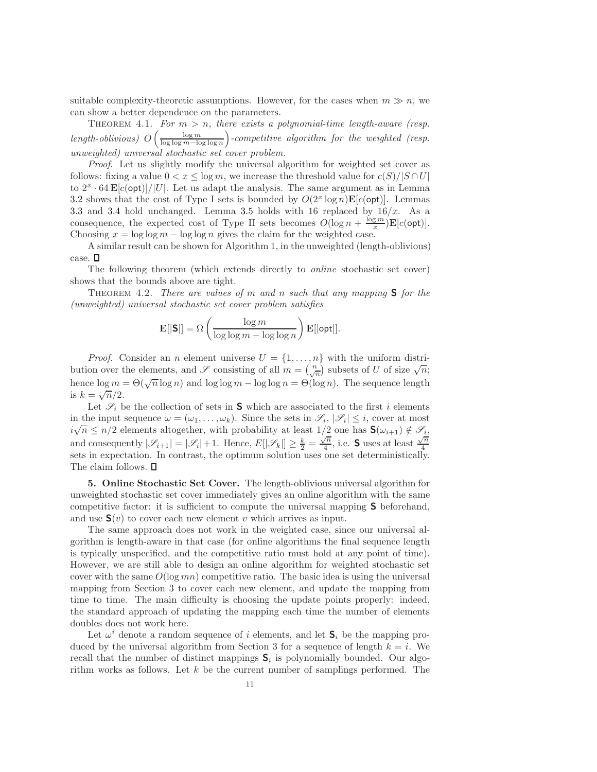suitable complexity-theoretic assumptions. However, for the cases when  $m \gg n$ , we can show a better dependence on the parameters.

THEOREM 4.1. For  $m > n$ , there exists a polynomial-time length-aware (resp. length-oblivious)  $O\left(\frac{\log m}{\log \log m - \log \log n}\right)$  -competitive algorithm for the weighted (resp. unweighted) universal stochastic set cover problem.

Proof. Let us slightly modify the universal algorithm for weighted set cover as follows: fixing a value  $0 < x \leq \log m$ , we increase the threshold value for  $c(S)/|S \cap U|$ to  $2^x \cdot 64 \mathbf{E} [c(\text{opt})] / |U|$ . Let us adapt the analysis. The same argument as in Lemma 3.2 shows that the cost of Type I sets is bounded by  $O(2^x \log n) \mathbf{E}[c(\text{opt})]$ . Lemmas 3.3 and 3.4 hold unchanged. Lemma 3.5 holds with 16 replaced by  $16/x$ . As a consequence, the expected cost of Type II sets becomes  $O(\log n + \frac{\log m}{x}) \mathbf{E}[c(\text{opt})]$ . Choosing  $x = \log \log m - \log \log n$  gives the claim for the weighted case.

A similar result can be shown for Algorithm 1, in the unweighted (length-oblivious) case.  $\square$ 

The following theorem (which extends directly to online stochastic set cover) shows that the bounds above are tight.

THEOREM 4.2. There are values of m and n such that any mapping  $S$  for the (unweighted) universal stochastic set cover problem satisfies

$$
\mathbf{E}[|\mathbf{S}|] = \Omega \left( \frac{\log m}{\log \log m - \log \log n} \right) \mathbf{E}[|\mathsf{opt}|].
$$

*Proof.* Consider an *n* element universe  $U = \{1, \ldots, n\}$  with the uniform distribution over the elements, and  $\mathscr S$  consisting of all  $m = \begin{pmatrix} n \\ \sqrt{n} \end{pmatrix}$  subsets of U of size  $\sqrt{n}$ ; hence  $\log m = \Theta(\sqrt{n} \log n)$  and  $\log \log m - \log \log n = \Theta(\log n)$ . The sequence length is  $k=\sqrt{\overline{n}}/2$ .

Let  $\mathscr{S}_i$  be the collection of sets in **S** which are associated to the first i elements in the input sequence  $\omega = (\omega_1, \dots, \omega_k)$ . Since the sets in  $\mathscr{S}_i$ ,  $|\mathscr{S}_i| \leq i$ , cover at most  $i\sqrt{n} \leq n/2$  elements altogether, with probability at least  $1/2$  one has  $\mathbf{S}(\omega_{i+1}) \notin \mathscr{S}_{i}$ , and consequently  $|\mathscr{S}_{i+1}| = |\mathscr{S}_{i}| + 1$ . Hence,  $E[|\mathscr{S}_k|] \geq \frac{k}{2} = \frac{\sqrt{n}}{4}$  $\sqrt{\frac{n}{4}}$ , i.e. **S** uses at least  $\frac{\sqrt{n}}{4}$ 4 sets in expectation. In contrast, the optimum solution uses one set deterministically. The claim follows.  $\Box$ 

5. Online Stochastic Set Cover. The length-oblivious universal algorithm for unweighted stochastic set cover immediately gives an online algorithm with the same competitive factor: it is sufficient to compute the universal mapping S beforehand, and use  $\mathbf{S}(v)$  to cover each new element v which arrives as input.

The same approach does not work in the weighted case, since our universal algorithm is length-aware in that case (for online algorithms the final sequence length is typically unspecified, and the competitive ratio must hold at any point of time). However, we are still able to design an online algorithm for weighted stochastic set cover with the same  $O(\log mn)$  competitive ratio. The basic idea is using the universal mapping from Section 3 to cover each new element, and update the mapping from time to time. The main difficulty is choosing the update points properly: indeed, the standard approach of updating the mapping each time the number of elements doubles does not work here.

Let  $\omega^i$  denote a random sequence of i elements, and let  $S_i$  be the mapping produced by the universal algorithm from Section 3 for a sequence of length  $k = i$ . We recall that the number of distinct mappings  $S_i$  is polynomially bounded. Our algorithm works as follows. Let  $k$  be the current number of samplings performed. The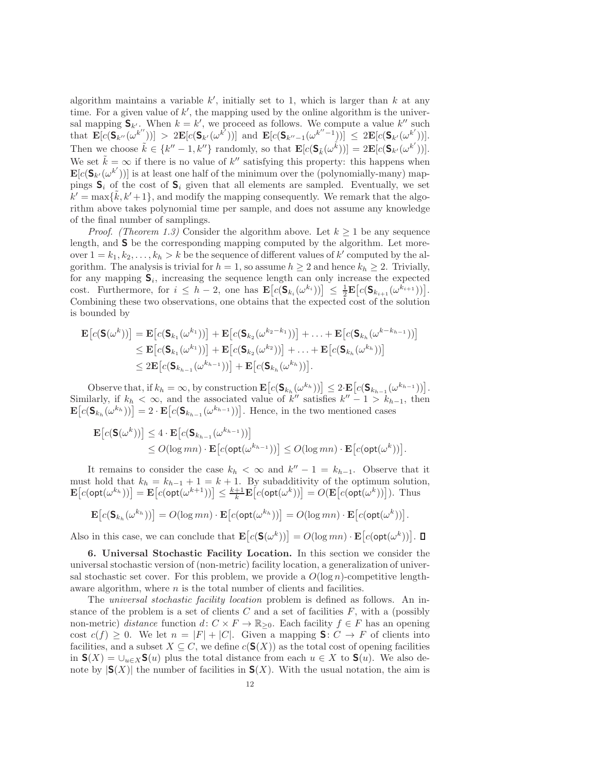algorithm maintains a variable  $k'$ , initially set to 1, which is larger than k at any time. For a given value of  $k'$ , the mapping used by the online algorithm is the universal mapping  $S_{k'}$ . When  $k = k'$ , we proceed as follows. We compute a value  $k''$  such that  $\mathbf{E}[c(\mathbf{S}_{k''}(\omega^{k''}))] > 2\mathbf{E}[c(\mathbf{S}_{k'}(\omega^{k''}))]$  and  $\mathbf{E}[c(\mathbf{S}_{k''-1}(\omega^{k''-1}))] \leq 2\mathbf{E}[c(\mathbf{S}_{k'}(\omega^{k'}))]$ . Then we choose  $\tilde{k} \in \{k'' - 1, k''\}$  randomly, so that  $\mathbf{E}[c(\mathbf{S}_{\tilde{k}}(\omega^{\tilde{k}}))] = 2\mathbf{E}[c(\mathbf{S}_{k'}(\omega^{k'}))]$ . We set  $\tilde{k} = \infty$  if there is no value of k'' satisfying this property: this happens when  $\mathbf{E}[c(\mathbf{S}_{k'}(\omega^{k'}))]$  is at least one half of the minimum over the (polynomially-many) mappings  $S_i$  of the cost of  $S_i$  given that all elements are sampled. Eventually, we set  $k' = \max{\{\tilde{k}, k' + 1\}}$ , and modify the mapping consequently. We remark that the algorithm above takes polynomial time per sample, and does not assume any knowledge of the final number of samplings.

*Proof.* (Theorem 1.3) Consider the algorithm above. Let  $k > 1$  be any sequence length, and S be the corresponding mapping computed by the algorithm. Let moreover  $1 = k_1, k_2, \ldots, k_h > k$  be the sequence of different values of  $k'$  computed by the algorithm. The analysis is trivial for  $h = 1$ , so assume  $h \geq 2$  and hence  $k_h \geq 2$ . Trivially, for any mapping  $S_i$ , increasing the sequence length can only increase the expected cost. Furthermore, for  $i \leq h-2$ , one has  $\mathbf{E}\big[c(\mathbf{S}_{k_i}(\omega^{k_i}))\big] \leq \frac{1}{2}\mathbf{E}\big[c(\mathbf{S}_{k_{i+1}}(\omega^{k_{i+1}}))\big].$ Combining these two observations, one obtains that the expected cost of the solution is bounded by

$$
\mathbf{E}\big[c(\mathbf{S}(\omega^k))\big] = \mathbf{E}\big[c(\mathbf{S}_{k_1}(\omega^{k_1}))\big] + \mathbf{E}\big[c(\mathbf{S}_{k_2}(\omega^{k_2-k_1}))\big] + \ldots + \mathbf{E}\big[c(\mathbf{S}_{k_h}(\omega^{k-k_{h-1}}))\big]
$$
  
\n
$$
\leq \mathbf{E}\big[c(\mathbf{S}_{k_1}(\omega^{k_1}))\big] + \mathbf{E}\big[c(\mathbf{S}_{k_2}(\omega^{k_2}))\big] + \ldots + \mathbf{E}\big[c(\mathbf{S}_{k_h}(\omega^{k_h}))\big]
$$
  
\n
$$
\leq 2\mathbf{E}\big[c(\mathbf{S}_{k_{h-1}}(\omega^{k_{h-1}}))\big] + \mathbf{E}\big[c(\mathbf{S}_{k_h}(\omega^{k_h}))\big].
$$

Observe that, if  $k_h = \infty$ , by construction  $\mathbf{E}\big[c(\mathbf{S}_{k_h}(\omega^{k_h}))\big] \leq 2 \cdot \mathbf{E}\big[c(\mathbf{S}_{k_{h-1}}(\omega^{k_{h-1}}))\big].$ Similarly, if  $k_h < \infty$ , and the associated value of k'' satisfies  $k'' - 1 > k_{h-1}$ , then  $\mathbf{E}\big[c(\mathbf{S}_{k_h}(\omega^{k_h}))\big] = 2 \cdot \mathbf{E}\big[c(\mathbf{S}_{k_{h-1}}(\omega^{k_{h-1}}))\big]$ . Hence, in the two mentioned cases

$$
\mathbf{E}\big[c(\mathbf{S}(\omega^k))\big] \le 4 \cdot \mathbf{E}\big[c(\mathbf{S}_{k_{h-1}}(\omega^{k_{h-1}}))\big] \le O(\log mn) \cdot \mathbf{E}\big[c(\textsf{opt}(\omega^{k_{h-1}}))\big] \le O(\log mn) \cdot \mathbf{E}\big[c(\textsf{opt}(\omega^k))\big].
$$

It remains to consider the case  $k_h < \infty$  and  $k'' - 1 = k_{h-1}$ . Observe that it must hold that  $k_h = k_{h-1} + 1 = k + 1$ . By subadditivity of the optimum solution,  $\mathbf{E}\big[c(\textsf{opt}(\omega^{k_h}))\big] = \mathbf{E}\big[c(\textsf{opt}(\omega^{k+1}))\big] \leq \frac{k+1}{k} \mathbf{E}\big[c(\textsf{opt}(\omega^{k}))\big] = O(\mathbf{E}\big[c(\textsf{opt}(\omega^{k}))\big]).$  Thus

$$
\mathbf{E}\big[c(\mathbf{S}_{k_h}(\omega^{k_h}))\big] = O(\log mn) \cdot \mathbf{E}\big[c(\textsf{opt}(\omega^{k_h}))\big] = O(\log mn) \cdot \mathbf{E}\big[c(\textsf{opt}(\omega^{k}))\big].
$$

Also in this case, we can conclude that  $\mathbf{E}\big[c(\mathsf{S}(\omega^k))\big] = O(\log mn) \cdot \mathbf{E}\big[c(\mathsf{opt}(\omega^k))\big].$ 

6. Universal Stochastic Facility Location. In this section we consider the universal stochastic version of (non-metric) facility location, a generalization of universal stochastic set cover. For this problem, we provide a  $O(\log n)$ -competitive lengthaware algorithm, where  $n$  is the total number of clients and facilities.

The universal stochastic facility location problem is defined as follows. An instance of the problem is a set of clients  $C$  and a set of facilities  $F$ , with a (possibly non-metric) distance function d:  $C \times F \to \mathbb{R}_{\geq 0}$ . Each facility  $f \in F$  has an opening cost  $c(f) \geq 0$ . We let  $n = |F| + |C|$ . Given a mapping **S**:  $C \rightarrow F$  of clients into facilities, and a subset  $X \subseteq C$ , we define  $c(S(X))$  as the total cost of opening facilities in  $\mathbf{S}(X) = \bigcup_{u \in X} \mathbf{S}(u)$  plus the total distance from each  $u \in X$  to  $\mathbf{S}(u)$ . We also denote by  $|S(X)|$  the number of facilities in  $S(X)$ . With the usual notation, the aim is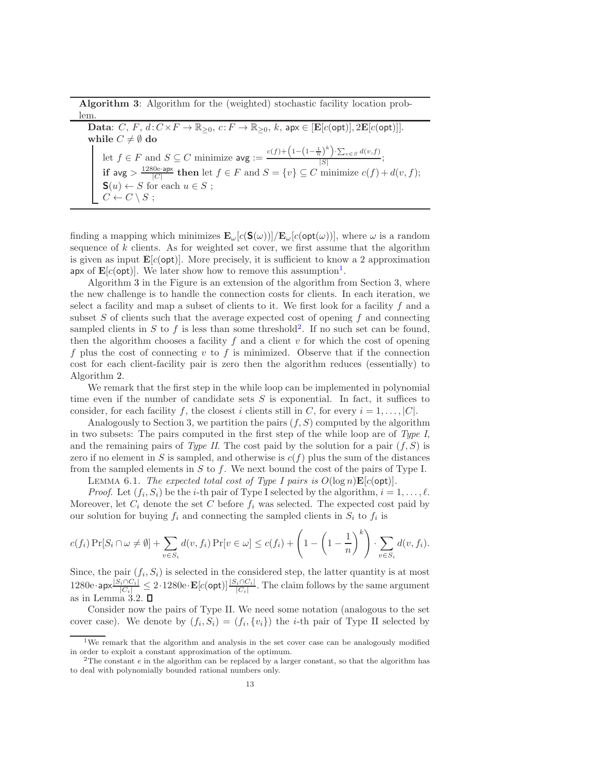Algorithm 3: Algorithm for the (weighted) stochastic facility location problem.

Data:  $C, F, d: C \times F \to \mathbb{R}_{\geq 0}, c: F \to \mathbb{R}_{\geq 0}, k$ , ap $x \in [E[c(\text{opt})], 2E[c(\text{opt})]]$ .<br>while  $C \neq \emptyset$  do while  $C \neq \emptyset$  do let  $f \in F$  and  $S \subseteq C$  minimize  $\arg := \frac{c(f) + \left(1 - \left(1 - \frac{1}{n}\right)^k\right) \cdot \sum_{v \in S} d(v, f)}{|S|}$  $\frac{|S|}{|S|}$ ; if  $\arg \frac{1280e \cdot \arg t}{|C|}$  then let  $f \in F$  and  $S = \{v\} \subseteq C$  minimize  $c(f) + d(v, f);$  $\mathbf{S}(u) \leftarrow S$  for each  $u \in S$ ;  $C \leftarrow C \setminus S;$ 

finding a mapping which minimizes  $\mathbf{E}_{\omega}[c(\mathbf{S}(\omega))] / \mathbf{E}_{\omega}[c(\text{opt}(\omega))]$ , where  $\omega$  is a random sequence of  $k$  clients. As for weighted set cover, we first assume that the algorithm is given as input  $\mathbf{E}[c(\text{opt})]$ . More precisely, it is sufficient to know a 2 approximation apx of  $\mathbf{E}[c(\textsf{opt})]$ . We later show how to remove this assumption<sup>1</sup>.

Algorithm 3 in the Figure is an extension of the algorithm from Section 3, where the new challenge is to handle the connection costs for clients. In each iteration, we select a facility and map a subset of clients to it. We first look for a facility  $f$  and a subset  $S$  of clients such that the average expected cost of opening  $f$  and connecting sampled clients in S to f is less than some threshold<sup>2</sup>. If no such set can be found, then the algorithm chooses a facility  $f$  and a client  $v$  for which the cost of opening f plus the cost of connecting v to f is minimized. Observe that if the connection cost for each client-facility pair is zero then the algorithm reduces (essentially) to Algorithm 2.

We remark that the first step in the while loop can be implemented in polynomial time even if the number of candidate sets  $S$  is exponential. In fact, it suffices to consider, for each facility f, the closest i clients still in C, for every  $i = 1, \ldots, |C|$ .

Analogously to Section 3, we partition the pairs  $(f, S)$  computed by the algorithm in two subsets: The pairs computed in the first step of the while loop are of  $Type I$ , and the remaining pairs of Type II. The cost paid by the solution for a pair  $(f, S)$  is zero if no element in S is sampled, and otherwise is  $c(f)$  plus the sum of the distances from the sampled elements in S to f. We next bound the cost of the pairs of Type I.

LEMMA 6.1. The expected total cost of Type I pairs is  $O(\log n) \mathbf{E}[c(\text{opt})]$ .

*Proof.* Let  $(f_i, S_i)$  be the *i*-th pair of Type I selected by the algorithm,  $i = 1, \ldots, \ell$ . Moreover, let  $C_i$  denote the set C before  $f_i$  was selected. The expected cost paid by our solution for buying  $f_i$  and connecting the sampled clients in  $S_i$  to  $f_i$  is

$$
c(f_i) \Pr[S_i \cap \omega \neq \emptyset] + \sum_{v \in S_i} d(v, f_i) \Pr[v \in \omega] \leq c(f_i) + \left(1 - \left(1 - \frac{1}{n}\right)^k\right) \cdot \sum_{v \in S_i} d(v, f_i).
$$

Since, the pair  $(f_i, S_i)$  is selected in the considered step, the latter quantity is at most  $1280e\cdot$  apx $\frac{|S_i\cap C_i|}{|C_i|} \leq 2\cdot 1280e\cdot \mathbf{E}[c(\textsf{opt})]\frac{|S_i\cap C_i|}{|C_i|}$ . The claim follows by the same argument as in Lemma 3.2.  $\square$ 

Consider now the pairs of Type II. We need some notation (analogous to the set cover case). We denote by  $(f_i, S_i) = (f_i, \{v_i\})$  the *i*-th pair of Type II selected by

<sup>&</sup>lt;sup>1</sup>We remark that the algorithm and analysis in the set cover case can be analogously modified in order to exploit a constant approximation of the optimum.

<sup>&</sup>lt;sup>2</sup>The constant  $e$  in the algorithm can be replaced by a larger constant, so that the algorithm has to deal with polynomially bounded rational numbers only.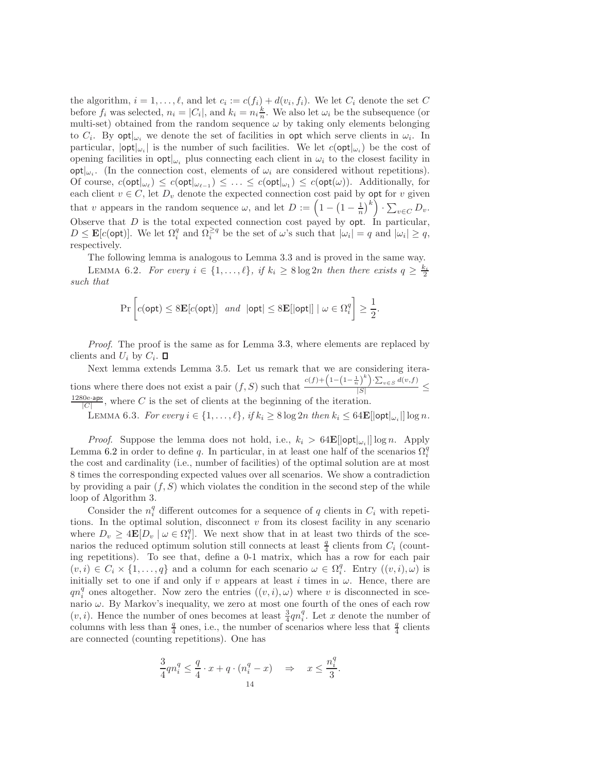the algorithm,  $i = 1, \ldots, \ell$ , and let  $c_i := c(f_i) + d(v_i, f_i)$ . We let  $C_i$  denote the set C before  $f_i$  was selected,  $n_i = |C_i|$ , and  $k_i = n_i \frac{k}{n}$ . We also let  $\omega_i$  be the subsequence (or multi-set) obtained from the random sequence  $\omega$  by taking only elements belonging to  $C_i$ . By  $\text{opt}|_{\omega_i}$  we denote the set of facilities in opt which serve clients in  $\omega_i$ . In particular,  $|\text{opt}|_{\omega_i}$  is the number of such facilities. We let  $c(\text{opt}|_{\omega_i})$  be the cost of opening facilities in  $\mathsf{opt}|_{\omega_i}$  plus connecting each client in  $\omega_i$  to the closest facility in  $\text{opt}|_{\omega_i}$ . (In the connection cost, elements of  $\omega_i$  are considered without repetitions). Of course,  $c(\text{opt}|_{\omega_{\ell}}) \leq c(\text{opt}|_{\omega_{\ell-1}}) \leq \ldots \leq c(\text{opt}|\omega_1) \leq c(\text{opt}(\omega))$ . Additionally, for each client  $v \in C$ , let  $D_v$  denote the expected connection cost paid by opt for v given that v appears in the random sequence  $\omega$ , and let  $D := \left(1 - \left(1 - \frac{1}{n}\right)^k\right) \cdot \sum_{v \in C} D_v$ . Observe that  $D$  is the total expected connection cost payed by opt. In particular,  $D \leq \mathbf{E}[c(\text{opt})]$ . We let  $\Omega_i^q$  and  $\Omega_i^{\geq q}$  be the set of  $\omega$ 's such that  $|\omega_i| = q$  and  $|\omega_i| \geq q$ , respectively.

The following lemma is analogous to Lemma 3.3 and is proved in the same way. LEMMA 6.2. For every  $i \in \{1, ..., \ell\}$ , if  $k_i \geq 8 \log 2n$  then there exists  $q \geq \frac{k_i}{2}$ such that

$$
\Pr\left[c(\textsf{opt}) \le 8\mathbf{E}[c(\textsf{opt})] \text{ and } |\textsf{opt}| \le 8\mathbf{E}[|\textsf{opt}|] \mid \omega \in \Omega_i^q\right] \ge \frac{1}{2}.
$$

Proof. The proof is the same as for Lemma 3.3, where elements are replaced by clients and  $U_i$  by  $C_i$ .

Next lemma extends Lemma 3.5. Let us remark that we are considering iterations where there does not exist a pair  $(f, S)$  such that  $\frac{c(f) + (1 - (1 - \frac{1}{n})^k) \cdot \sum_{v \in S} d(v, f)}{|S|}$  $\frac{1}{|S|}$   $\leq$  $\frac{1280e\cdot\mathsf{apx}}{|C|}$ , where C is the set of clients at the beginning of the iteration.

LEMMA 6.3. For every  $i \in \{1, ..., \ell\}$ , if  $k_i \geq 8 \log 2n$  then  $k_i \leq 64\mathbf{E}[|\mathsf{opt}|_{\omega_i}|] \log n$ .

*Proof.* Suppose the lemma does not hold, i.e.,  $k_i > 64\mathbf{E}[\text{opt}|\omega_i|] \log n$ . Apply Lemma 6.2 in order to define q. In particular, in at least one half of the scenarios  $\Omega_i^q$ the cost and cardinality (i.e., number of facilities) of the optimal solution are at most 8 times the corresponding expected values over all scenarios. We show a contradiction by providing a pair  $(f, S)$  which violates the condition in the second step of the while loop of Algorithm 3.

Consider the  $n_i^q$  different outcomes for a sequence of q clients in  $C_i$  with repetitions. In the optimal solution, disconnect  $v$  from its closest facility in any scenario where  $D_v \geq 4\mathbf{E}[D_v \mid \omega \in \Omega_i^q]$ . We next show that in at least two thirds of the scenarios the reduced optimum solution still connects at least  $\frac{q}{4}$  clients from  $C_i$  (counting repetitions). To see that, define a 0-1 matrix, which has a row for each pair  $(v, i) \in C_i \times \{1, ..., q\}$  and a column for each scenario  $\omega \in \Omega_i^q$ . Entry  $((v, i), \omega)$  is initially set to one if and only if v appears at least i times in  $\omega$ . Hence, there are  $qn_i^q$  ones altogether. Now zero the entries  $((v, i), \omega)$  where v is disconnected in scenario  $\omega$ . By Markov's inequality, we zero at most one fourth of the ones of each row  $(v, i)$ . Hence the number of ones becomes at least  $\frac{3}{4}qn_i^q$ . Let x denote the number of columns with less than  $\frac{q}{4}$  ones, i.e., the number of scenarios where less that  $\frac{q}{4}$  clients are connected (counting repetitions). One has

$$
\frac{3}{4}qn_i^q \le \frac{q}{4} \cdot x + q \cdot (n_i^q - x) \quad \Rightarrow \quad x \le \frac{n_i^q}{3}
$$

.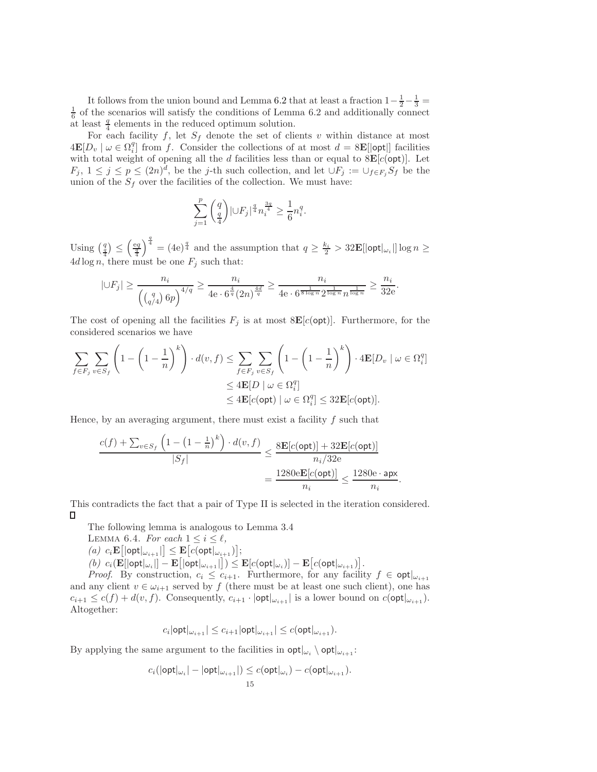It follows from the union bound and Lemma 6.2 that at least a fraction  $1 - \frac{1}{2} - \frac{1}{3} =$  $\frac{1}{6}$  of the scenarios will satisfy the conditions of Lemma 6.2 and additionally connect at least  $\frac{q}{4}$  elements in the reduced optimum solution.

For each facility f, let  $S_f$  denote the set of clients v within distance at most  $4\mathbf{E}[D_v \mid \omega \in \Omega_i^q]$  from f. Consider the collections of at most  $d = 8\mathbf{E}[\text{opt}]]$  facilities with total weight of opening all the d facilities less than or equal to  $8E[c(\text{opt})]$ . Let  $F_j, 1 \leq j \leq p \leq (2n)^d$ , be the j-th such collection, and let  $\cup F_j := \cup_{f \in F_j} S_f$  be the union of the  $S_f$  over the facilities of the collection. We must have:

$$
\sum_{j=1}^p \binom{q}{\frac{q}{4}} |{\cup} F_j|^{\frac{q}{4}} n_i^{\frac{3q}{4}} \ge \frac{1}{6} n_i^q.
$$

Using  $\left(\frac{q}{4}\right) \leq \left(\frac{eq}{4}\right)$  $\int_4^{\frac{q}{4}} = (4e)^{\frac{q}{4}}$  and the assumption that  $q \ge \frac{k_i}{2} > 32\mathbf{E}[|\mathsf{opt}|_{\omega_i}|] \log n \ge$  $4d \log n$ , there must be one  $F_j$  such that:

$$
|\cup F_j| \ge \frac{n_i}{\left(\binom{q}{q/4}6p\right)^{4/q}} \ge \frac{n_i}{4e \cdot 6^{\frac{4}{q}}(2n)^{\frac{4d}{q}}} \ge \frac{n_i}{4e \cdot 6^{\frac{1}{8\log n}} 2^{\frac{1}{\log n}} n^{\frac{1}{\log n}}} \ge \frac{n_i}{32e}.
$$

The cost of opening all the facilities  $F_j$  is at most  $8\mathbf{E}[c(\text{opt})]$ . Furthermore, for the considered scenarios we have

$$
\sum_{f \in F_j} \sum_{v \in S_f} \left( 1 - \left( 1 - \frac{1}{n} \right)^k \right) \cdot d(v, f) \le \sum_{f \in F_j} \sum_{v \in S_f} \left( 1 - \left( 1 - \frac{1}{n} \right)^k \right) \cdot 4\mathbf{E}[D_v \mid \omega \in \Omega_i^q]
$$
  

$$
\le 4\mathbf{E}[D \mid \omega \in \Omega_i^q]
$$
  

$$
\le 4\mathbf{E}[c(\text{opt}) \mid \omega \in \Omega_i^q] \le 32\mathbf{E}[c(\text{opt})].
$$

Hence, by an averaging argument, there must exist a facility  $f$  such that

$$
\frac{c(f) + \sum_{v \in S_f} \left(1 - \left(1 - \frac{1}{n}\right)^k\right) \cdot d(v, f)}{|S_f|} \le \frac{8 \mathbf{E}[c(\text{opt})] + 32 \mathbf{E}[c(\text{opt})]}{n_i / 32 \mathbf{e}}
$$

$$
= \frac{1280 \mathbf{e} \mathbf{E}[c(\text{opt})]}{n_i} \le \frac{1280 \mathbf{e} \cdot \mathbf{apx}}{n_i}
$$

.

This contradicts the fact that a pair of Type II is selected in the iteration considered. П

The following lemma is analogous to Lemma 3.4

- LEMMA 6.4. For each  $1 \leq i \leq \ell$ ,
- $(a)$   $c_i \mathbf{E} [\text{opt}|_{\omega_{i+1}}] \leq \mathbf{E} [c(\text{opt}|_{\omega_{i+1}})],$

 $(b) \ c_i(\mathbf{E}[|{\mathsf{opt}}|_{\omega_i}] - \mathbf{E}[|{\mathsf{opt}}|_{\omega_{i+1}}|]) \leq \mathbf{E}[c({\mathsf{opt}}|_{\omega_i})] - \mathbf{E}[c({\mathsf{opt}}|_{\omega_{i+1}})].$ 

*Proof.* By construction,  $c_i \leq c_{i+1}$ . Furthermore, for any facility  $f \in \text{opt}|_{\omega_{i+1}}$ and any client  $v \in \omega_{i+1}$  served by f (there must be at least one such client), one has  $c_{i+1} \leq c(f) + d(v, f)$ . Consequently,  $c_{i+1} \cdot |\text{opt}|_{\omega_{i+1}}|$  is a lower bound on  $c(\text{opt}|_{\omega_{i+1}})$ . Altogether:

$$
c_i |\mathsf{opt}|_{\omega_{i+1}}| \leq c_{i+1} |\mathsf{opt}|_{\omega_{i+1}}| \leq c(\mathsf{opt}|_{\omega_{i+1}}).
$$

By applying the same argument to the facilities in  $\mathsf{opt}|_{\omega_i} \setminus \mathsf{opt}|_{\omega_{i+1}}$ :

$$
c_i(|\mathsf{opt}|_{\omega_i}| - |\mathsf{opt}|_{\omega_{i+1}}|) \leq c(\mathsf{opt}|_{\omega_i}) - c(\mathsf{opt}|_{\omega_{i+1}}).
$$
15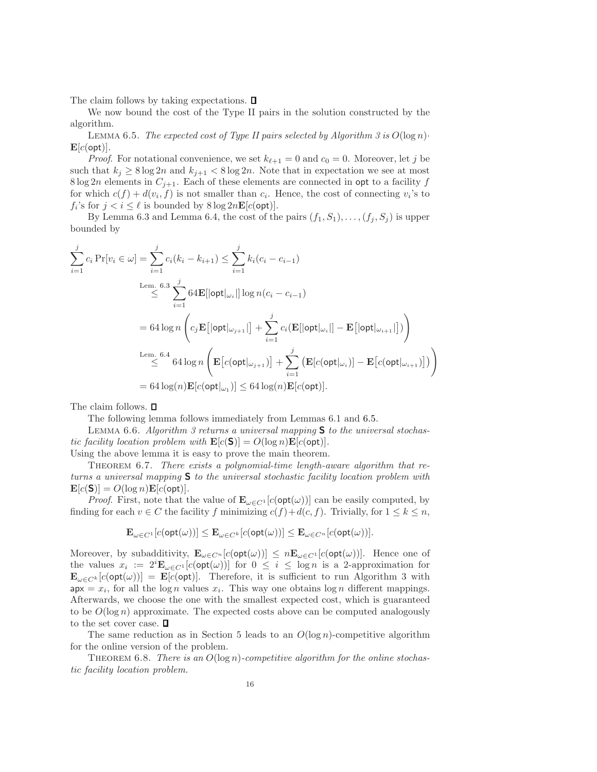The claim follows by taking expectations.  $\square$ 

We now bound the cost of the Type II pairs in the solution constructed by the algorithm.

LEMMA 6.5. The expected cost of Type II pairs selected by Algorithm 3 is  $O(\log n)$ .  $\mathbf{E}[c(\textsf{opt})]$ .

*Proof.* For notational convenience, we set  $k_{\ell+1} = 0$  and  $c_0 = 0$ . Moreover, let j be such that  $k_j \geq 8 \log 2n$  and  $k_{j+1} < 8 \log 2n$ . Note that in expectation we see at most 8 log 2n elements in  $C_{j+1}$ . Each of these elements are connected in opt to a facility f for which  $c(f) + d(v_i, f)$  is not smaller than  $c_i$ . Hence, the cost of connecting  $v_i$ 's to  $f_i$ 's for  $j < i \leq \ell$  is bounded by  $8 \log 2n \mathbf{E}[c(\text{opt})]$ .

By Lemma 6.3 and Lemma 6.4, the cost of the pairs  $(f_1, S_1), \ldots, (f_j, S_j)$  is upper bounded by

$$
\sum_{i=1}^{j} c_i \Pr[v_i \in \omega] = \sum_{i=1}^{j} c_i (k_i - k_{i+1}) \le \sum_{i=1}^{j} k_i (c_i - c_{i-1})
$$
\n
$$
\le \sum_{i=1}^{n} 64 \mathbf{E}[\vert \mathsf{opt} \vert_{\omega_i} \vert] \log n (c_i - c_{i-1})
$$
\n
$$
= 64 \log n \left( c_j \mathbf{E}[\vert \mathsf{opt} \vert_{\omega_{j+1}} \vert] + \sum_{i=1}^{j} c_i (\mathbf{E}[\vert \mathsf{opt} \vert_{\omega_i} \vert] - \mathbf{E}[\vert \mathsf{opt} \vert_{\omega_{i+1}} \vert]) \right)
$$
\n
$$
\le \sum_{i=1}^{n} 64 \log n \left( \mathbf{E} \left[ c(\mathsf{opt} \vert_{\omega_{j+1}}) \right] + \sum_{i=1}^{j} \left( \mathbf{E} [c(\mathsf{opt} \vert_{\omega_i})] - \mathbf{E} \left[ c(\mathsf{opt} \vert_{\omega_{i+1}}) \right] \right) \right)
$$
\n
$$
= 64 \log(n) \mathbf{E} [c(\mathsf{opt} \vert_{\omega_1})] \le 64 \log(n) \mathbf{E} [c(\mathsf{opt})].
$$

The claim follows.  $\square$ 

The following lemma follows immediately from Lemmas 6.1 and 6.5.

LEMMA 6.6. Algorithm 3 returns a universal mapping  $S$  to the universal stochastic facility location problem with  $\mathbf{E}[c(\mathbf{S})] = O(\log n) \mathbf{E}[c(\text{opt})].$ 

Using the above lemma it is easy to prove the main theorem.

Theorem 6.7. There exists a polynomial-time length-aware algorithm that returns a universal mapping S to the universal stochastic facility location problem with  $\mathbf{E}[c(\mathsf{S})] = O(\log n) \mathbf{E}[c(\textsf{opt})].$ 

*Proof.* First, note that the value of  $\mathbf{E}_{\omega \in C}$ <sup>1</sup>[c(opt( $\omega$ ))] can be easily computed, by finding for each  $v \in C$  the facility f minimizing  $c(f)+d(c, f)$ . Trivially, for  $1 \leq k \leq n$ ,

$$
\mathbf{E}_{\omega \in C^1}[c(\textsf{opt}(\omega))] \leq \mathbf{E}_{\omega \in C^k}[c(\textsf{opt}(\omega))] \leq \mathbf{E}_{\omega \in C^n}[c(\textsf{opt}(\omega))].
$$

Moreover, by subadditivity,  $\mathbf{E}_{\omega \in C^n}[c(\text{opt}(\omega))] \leq n \mathbf{E}_{\omega \in C^1}[c(\text{opt}(\omega))]$ . Hence one of the values  $x_i := 2^i \mathbf{E}_{\omega \in C^1}[c(\text{opt}(\omega))]$  for  $0 \leq i \leq \log n$  is a 2-approximation for  $\mathbf{E}_{\omega \in C^k}[c(\textsf{opt}(\omega))] = \mathbf{E}[c(\textsf{opt})]$ . Therefore, it is sufficient to run Algorithm 3 with  $apx = x_i$ , for all the log *n* values  $x_i$ . This way one obtains log *n* different mappings. Afterwards, we choose the one with the smallest expected cost, which is guaranteed to be  $O(\log n)$  approximate. The expected costs above can be computed analogously to the set cover case.  $\Box$ 

The same reduction as in Section 5 leads to an  $O(\log n)$ -competitive algorithm for the online version of the problem.

THEOREM 6.8. There is an  $O(\log n)$ -competitive algorithm for the online stochastic facility location problem.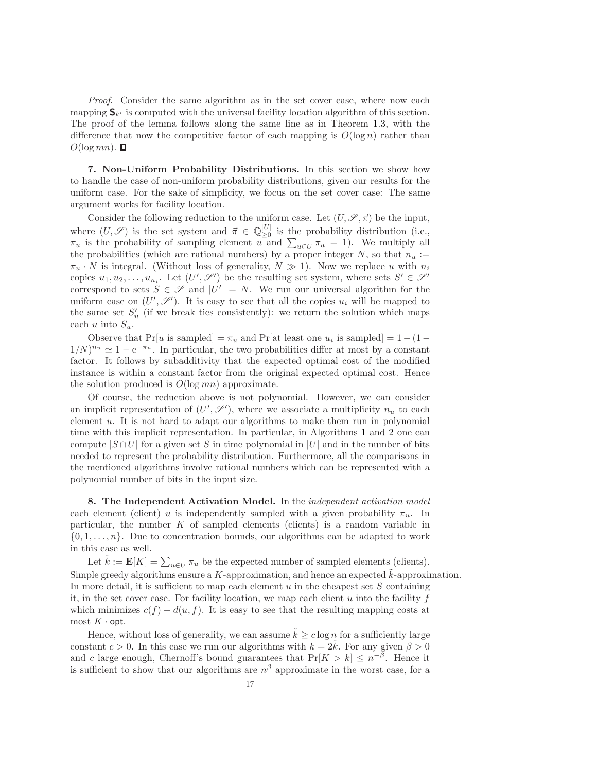Proof. Consider the same algorithm as in the set cover case, where now each mapping  $S_{k'}$  is computed with the universal facility location algorithm of this section. The proof of the lemma follows along the same line as in Theorem 1.3, with the difference that now the competitive factor of each mapping is  $O(\log n)$  rather than  $O(\log mn)$ .  $\Box$ 

7. Non-Uniform Probability Distributions. In this section we show how to handle the case of non-uniform probability distributions, given our results for the uniform case. For the sake of simplicity, we focus on the set cover case: The same argument works for facility location.

Consider the following reduction to the uniform case. Let  $(U, \mathscr{S}, \vec{\pi})$  be the input, where  $(U, \mathscr{S})$  is the set system and  $\vec{\pi} \in \mathbb{Q}_{\geq 0}^{|U|}$  $\sum_{\geq 0}^{\infty}$  is the probability distribution (i.e.,  $\pi_u$  is the probability of sampling element u and  $\sum_{u \in U} \pi_u = 1$ ). We multiply all the probabilities (which are rational numbers) by a proper integer  $N$ , so that  $n_u :=$  $\pi_u \cdot N$  is integral. (Without loss of generality,  $N \gg 1$ ). Now we replace u with  $n_i$ copies  $u_1, u_2, \ldots, u_{n_i}$ . Let  $(U', \mathscr{S}')$  be the resulting set system, where sets  $S' \in \mathscr{S}'$ correspond to sets  $S \in \mathscr{S}$  and  $|U'| = N$ . We run our universal algorithm for the uniform case on  $(U',\mathscr{S}')$ . It is easy to see that all the copies  $u_i$  will be mapped to the same set  $S'_u$  (if we break ties consistently): we return the solution which maps each u into  $S_u$ .

Observe that  $Pr[u]$  is sampled  $] = \pi_u$  and  $Pr[\text{at least one } u_i]$  is sampled  $] = 1 - (1 (1/N)^{n_u} \simeq 1 - e^{-\pi_u}$ . In particular, the two probabilities differ at most by a constant factor. It follows by subadditivity that the expected optimal cost of the modified instance is within a constant factor from the original expected optimal cost. Hence the solution produced is  $O(\log mn)$  approximate.

Of course, the reduction above is not polynomial. However, we can consider an implicit representation of  $(U',\mathscr{S}')$ , where we associate a multiplicity  $n_u$  to each element u. It is not hard to adapt our algorithms to make them run in polynomial time with this implicit representation. In particular, in Algorithms 1 and 2 one can compute  $|S \cap U|$  for a given set S in time polynomial in  $|U|$  and in the number of bits needed to represent the probability distribution. Furthermore, all the comparisons in the mentioned algorithms involve rational numbers which can be represented with a polynomial number of bits in the input size.

8. The Independent Activation Model. In the independent activation model each element (client) u is independently sampled with a given probability  $\pi_u$ . In particular, the number  $K$  of sampled elements (clients) is a random variable in  $\{0, 1, \ldots, n\}$ . Due to concentration bounds, our algorithms can be adapted to work in this case as well.

Let  $\tilde{k} := \mathbf{E}[K] = \sum_{u \in U} \pi_u$  be the expected number of sampled elements (clients). Simple greedy algorithms ensure a  $K$ -approximation, and hence an expected  $\hat{k}$ -approximation. In more detail, it is sufficient to map each element  $u$  in the cheapest set  $S$  containing it, in the set cover case. For facility location, we map each client  $u$  into the facility  $f$ which minimizes  $c(f) + d(u, f)$ . It is easy to see that the resulting mapping costs at most  $K \cdot$  opt.

Hence, without loss of generality, we can assume  $\tilde{k} \geq c \log n$  for a sufficiently large constant  $c > 0$ . In this case we run our algorithms with  $k = 2k$ . For any given  $\beta > 0$ and c large enough, Chernoff's bound guarantees that  $Pr[K > k] \leq n^{-\beta}$ . Hence it is sufficient to show that our algorithms are  $n^{\beta}$  approximate in the worst case, for a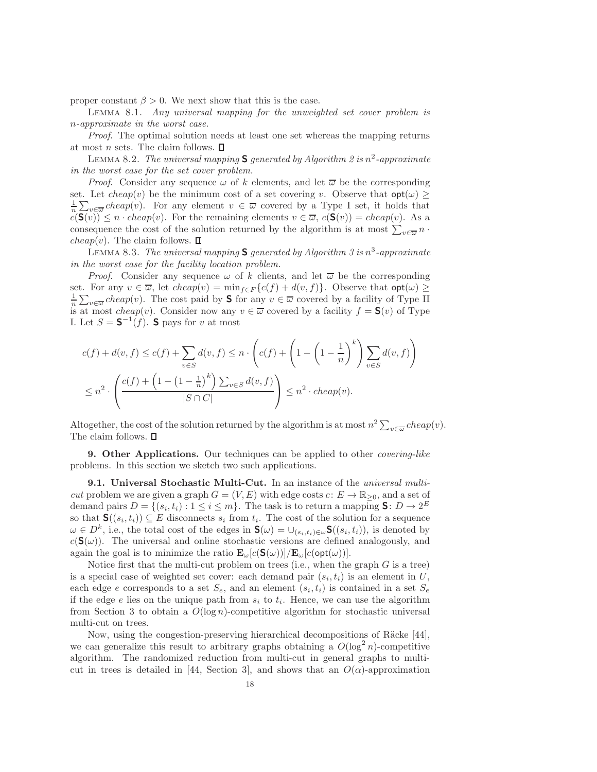proper constant  $\beta > 0$ . We next show that this is the case.

Lemma 8.1. Any universal mapping for the unweighted set cover problem is n-approximate in the worst case.

Proof. The optimal solution needs at least one set whereas the mapping returns at most n sets. The claim follows.  $\Box$ 

LEMMA 8.2. The universal mapping  $S$  generated by Algorithm 2 is  $n^2$ -approximate in the worst case for the set cover problem.

*Proof.* Consider any sequence  $\omega$  of k elements, and let  $\overline{\omega}$  be the corresponding set. Let  $cheap(v)$  be the minimum cost of a set covering v. Observe that  $opt(\omega) \ge$  $\frac{1}{n} \sum_{v \in \overline{\omega}} \text{cheap}(v)$ . For any element  $v \in \overline{\omega}$  covered by a Type I set, it holds that  $c(\mathbf{S}(v)) \leq n \cdot cheap(v)$ . For the remaining elements  $v \in \overline{\omega}$ ,  $c(\mathbf{S}(v)) = cheap(v)$ . As a consequence the cost of the solution returned by the algorithm is at most  $\sum_{v \in \overline{\omega}} n \cdot$ *cheap* $(v)$ . The claim follows.  $\square$ 

LEMMA 8.3. The universal mapping **S** generated by Algorithm 3 is  $n^3$ -approximate in the worst case for the facility location problem.

*Proof.* Consider any sequence  $\omega$  of k clients, and let  $\overline{\omega}$  be the corresponding set. For any  $v \in \overline{\omega}$ , let  $cheap(v) = \min_{f \in F} \{c(f) + d(v, f)\}\$ . Observe that  $opt(\omega) \ge$  $\frac{1}{n} \sum_{v \in \overline{\omega}} \text{cheap}(v)$ . The cost paid by **S** for any  $v \in \overline{\omega}$  covered by a facility of Type II is at most cheap(v). Consider now any  $v \in \overline{\omega}$  covered by a facility  $f = \mathsf{S}(v)$  of Type I. Let  $S = \mathbf{S}^{-1}(f)$ . S pays for v at most

$$
c(f) + d(v, f) \le c(f) + \sum_{v \in S} d(v, f) \le n \cdot \left( c(f) + \left( 1 - \left( 1 - \frac{1}{n} \right)^k \right) \sum_{v \in S} d(v, f) \right)
$$
  

$$
\le n^2 \cdot \left( \frac{c(f) + \left( 1 - \left( 1 - \frac{1}{n} \right)^k \right) \sum_{v \in S} d(v, f)}{|S \cap C|} \right) \le n^2 \cdot \text{ch} \exp(v).
$$

Altogether, the cost of the solution returned by the algorithm is at most  $n^2 \sum_{v \in \overline{\omega}} cheap(v)$ . The claim follows.  $\square$ 

9. Other Applications. Our techniques can be applied to other *covering-like* problems. In this section we sketch two such applications.

**9.1.** Universal Stochastic Multi-Cut. In an instance of the *universal multi*cut problem we are given a graph  $G = (V, E)$  with edge costs  $c: E \to \mathbb{R}_{\geq 0}$ , and a set of demand pairs  $D = \{(s_i, t_i) : 1 \le i \le m\}$ . The task is to return a mapping **S**:  $D \to 2^E$ so that  $\mathbf{S}((s_i,t_i)) \subseteq E$  disconnects  $s_i$  from  $t_i$ . The cost of the solution for a sequence  $\omega \in D^k$ , i.e., the total cost of the edges in  $\mathbf{S}(\omega) = \cup_{(s_i,t_i)\in\omega} \mathbf{S}((s_i,t_i))$ , is denoted by  $c(S(\omega))$ . The universal and online stochastic versions are defined analogously, and again the goal is to minimize the ratio  $\mathbf{E}_{\omega}[c(\mathbf{S}(\omega))]/\mathbf{E}_{\omega}[c(\text{opt}(\omega))].$ 

Notice first that the multi-cut problem on trees (i.e., when the graph  $G$  is a tree) is a special case of weighted set cover: each demand pair  $(s_i, t_i)$  is an element in U, each edge e corresponds to a set  $S_e$ , and an element  $(s_i, t_i)$  is contained in a set  $S_e$ if the edge  $e$  lies on the unique path from  $s_i$  to  $t_i$ . Hence, we can use the algorithm from Section 3 to obtain a  $O(\log n)$ -competitive algorithm for stochastic universal multi-cut on trees.

Now, using the congestion-preserving hierarchical decompositions of Räcke [44], we can generalize this result to arbitrary graphs obtaining a  $O(\log^2 n)$ -competitive algorithm. The randomized reduction from multi-cut in general graphs to multicut in trees is detailed in [44, Section 3], and shows that an  $O(\alpha)$ -approximation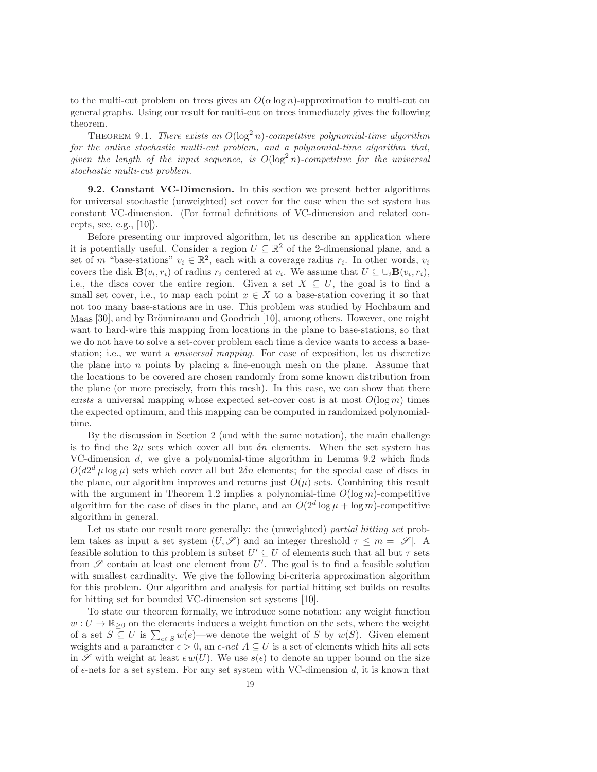to the multi-cut problem on trees gives an  $O(\alpha \log n)$ -approximation to multi-cut on general graphs. Using our result for multi-cut on trees immediately gives the following theorem.

THEOREM 9.1. There exists an  $O(\log^2 n)$ -competitive polynomial-time algorithm for the online stochastic multi-cut problem, and a polynomial-time algorithm that, given the length of the input sequence, is  $O(\log^2 n)$ -competitive for the universal stochastic multi-cut problem.

9.2. Constant VC-Dimension. In this section we present better algorithms for universal stochastic (unweighted) set cover for the case when the set system has constant VC-dimension. (For formal definitions of VC-dimension and related concepts, see, e.g.,  $[10]$ ).

Before presenting our improved algorithm, let us describe an application where it is potentially useful. Consider a region  $U \subseteq \mathbb{R}^2$  of the 2-dimensional plane, and a set of m "base-stations"  $v_i \in \mathbb{R}^2$ , each with a coverage radius  $r_i$ . In other words,  $v_i$ covers the disk  $\mathbf{B}(v_i, r_i)$  of radius  $r_i$  centered at  $v_i$ . We assume that  $U \subseteq \cup_i \mathbf{B}(v_i, r_i)$ , i.e., the discs cover the entire region. Given a set  $X \subseteq U$ , the goal is to find a small set cover, i.e., to map each point  $x \in X$  to a base-station covering it so that not too many base-stations are in use. This problem was studied by Hochbaum and Maas [30], and by Brönnimann and Goodrich [10], among others. However, one might want to hard-wire this mapping from locations in the plane to base-stations, so that we do not have to solve a set-cover problem each time a device wants to access a basestation; i.e., we want a universal mapping. For ease of exposition, let us discretize the plane into  $n$  points by placing a fine-enough mesh on the plane. Assume that the locations to be covered are chosen randomly from some known distribution from the plane (or more precisely, from this mesh). In this case, we can show that there exists a universal mapping whose expected set-cover cost is at most  $O(\log m)$  times the expected optimum, and this mapping can be computed in randomized polynomialtime.

By the discussion in Section 2 (and with the same notation), the main challenge is to find the  $2\mu$  sets which cover all but  $\delta n$  elements. When the set system has VC-dimension d, we give a polynomial-time algorithm in Lemma 9.2 which finds  $O(d2^d \mu \log \mu)$  sets which cover all but  $2\delta n$  elements; for the special case of discs in the plane, our algorithm improves and returns just  $O(\mu)$  sets. Combining this result with the argument in Theorem 1.2 implies a polynomial-time  $O(\log m)$ -competitive algorithm for the case of discs in the plane, and an  $O(2^d \log \mu + \log m)$ -competitive algorithm in general.

Let us state our result more generally: the (unweighted) partial hitting set problem takes as input a set system  $(U, \mathscr{S})$  and an integer threshold  $\tau \leq m = |\mathscr{S}|$ . A feasible solution to this problem is subset  $U' \subseteq U$  of elements such that all but  $\tau$  sets from  $\mathscr S$  contain at least one element from  $U'$ . The goal is to find a feasible solution with smallest cardinality. We give the following bi-criteria approximation algorithm for this problem. Our algorithm and analysis for partial hitting set builds on results for hitting set for bounded VC-dimension set systems [10].

To state our theorem formally, we introduce some notation: any weight function  $w: U \to \mathbb{R}_{\geq 0}$  on the elements induces a weight function on the sets, where the weight of a set  $S \subseteq U$  is  $\sum_{e \in S} w(e)$ —we denote the weight of S by  $w(S)$ . Given element weights and a parameter  $\epsilon > 0$ , an  $\epsilon$ -net  $A \subseteq U$  is a set of elements which hits all sets in  $\mathscr S$  with weight at least  $\epsilon w(U)$ . We use  $s(\epsilon)$  to denote an upper bound on the size of  $\epsilon$ -nets for a set system. For any set system with VC-dimension d, it is known that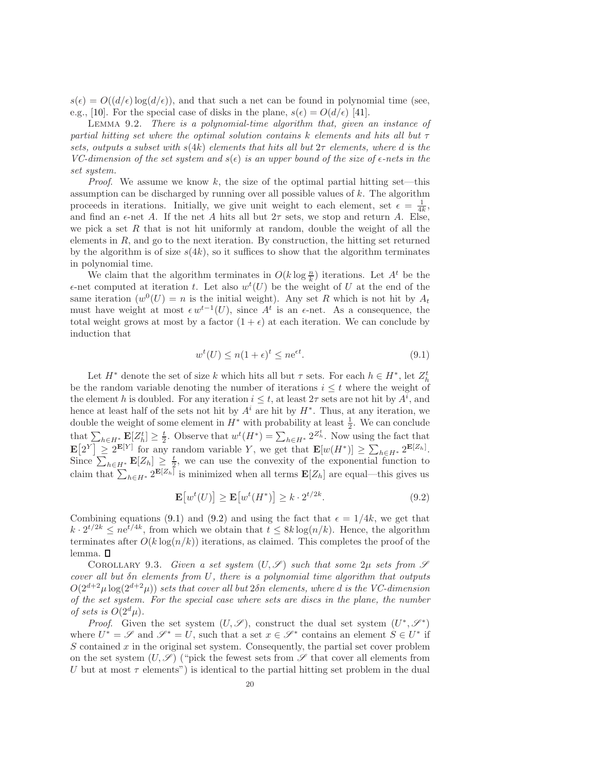$s(\epsilon) = O((d/\epsilon) \log(d/\epsilon))$ , and that such a net can be found in polynomial time (see, e.g., [10]. For the special case of disks in the plane,  $s(\epsilon) = O(d/\epsilon)$  [41].

Lemma 9.2. There is a polynomial-time algorithm that, given an instance of partial hitting set where the optimal solution contains k elements and hits all but  $\tau$ sets, outputs a subset with  $s(4k)$  elements that hits all but  $2\tau$  elements, where d is the VC-dimension of the set system and  $s(\epsilon)$  is an upper bound of the size of  $\epsilon$ -nets in the set system.

*Proof.* We assume we know k, the size of the optimal partial hitting set—this assumption can be discharged by running over all possible values of  $k$ . The algorithm proceeds in iterations. Initially, we give unit weight to each element, set  $\epsilon = \frac{1}{4k}$ , and find an  $\epsilon$ -net A. If the net A hits all but  $2\tau$  sets, we stop and return A. Else, we pick a set R that is not hit uniformly at random, double the weight of all the elements in  $R$ , and go to the next iteration. By construction, the hitting set returned by the algorithm is of size  $s(4k)$ , so it suffices to show that the algorithm terminates in polynomial time.

We claim that the algorithm terminates in  $O(k \log \frac{n}{k})$  iterations. Let  $A<sup>t</sup>$  be the  $\epsilon$ -net computed at iteration t. Let also  $w<sup>t</sup>(U)$  be the weight of U at the end of the same iteration  $(w^0(U) = n$  is the initial weight). Any set R which is not hit by  $A_t$ must have weight at most  $\epsilon w^{t-1}(U)$ , since  $A^t$  is an  $\epsilon$ -net. As a consequence, the total weight grows at most by a factor  $(1 + \epsilon)$  at each iteration. We can conclude by induction that

$$
w^{t}(U) \le n(1+\epsilon)^{t} \le n e^{\epsilon t}.
$$
\n(9.1)

Let  $H^*$  denote the set of size k which hits all but  $\tau$  sets. For each  $h \in H^*$ , let  $Z_h^t$ be the random variable denoting the number of iterations  $i \leq t$  where the weight of the element h is doubled. For any iteration  $i \leq t$ , at least  $2\tau$  sets are not hit by  $A^i$ , and hence at least half of the sets not hit by  $A^i$  are hit by  $H^*$ . Thus, at any iteration, we double the weight of some element in  $H^*$  with probability at least  $\frac{1}{2}$ . We can conclude 2 that  $\sum_{h\in H^*} \mathbf{E}[Z_h^t] \geq \frac{t}{2}$ . Observe that  $w^t(H^*) = \sum_{h\in H^*} 2^{Z_h^t}$ . Now using the fact that  $\mathbf{E}[2^Y] \geq 2^{\mathbf{E}[Y]}$  for any random variable Y, we get that  $\mathbf{E}[w(H^*)] \geq \sum_{h \in H^*} 2^{\mathbf{E}[Z_h]}$ . Since  $\sum_{h\in H^*}$   $\mathbf{E}[Z_h] \geq \frac{t}{2}$ , we can use the convexity of the exponential function to claim that  $\sum_{h\in H^*} 2^{\mathbf{E}[Z_h]}$  is minimized when all terms  $\mathbf{E}[Z_h]$  are equal—this gives us

$$
\mathbf{E}[w^t(U)] \ge \mathbf{E}[w^t(H^*)] \ge k \cdot 2^{t/2k}.\tag{9.2}
$$

Combining equations (9.1) and (9.2) and using the fact that  $\epsilon = 1/4k$ , we get that  $k \cdot 2^{t/2k} \leq n e^{t/4k}$ , from which we obtain that  $t \leq 8k \log(n/k)$ . Hence, the algorithm terminates after  $O(k \log(n/k))$  iterations, as claimed. This completes the proof of the lemma.

COROLLARY 9.3. Given a set system  $(U, \mathscr{S})$  such that some  $2\mu$  sets from  $\mathscr{S}$ cover all but  $\delta n$  elements from U, there is a polynomial time algorithm that outputs  $O(2^{d+2}\mu \log(2^{d+2}\mu))$  sets that cover all but  $2\delta n$  elements, where d is the VC-dimension of the set system. For the special case where sets are discs in the plane, the number of sets is  $O(2^d \mu)$ .

*Proof.* Given the set system  $(U, \mathscr{S})$ , construct the dual set system  $(U^*, \mathscr{S}^*)$ where  $U^* = \mathscr{S}$  and  $\mathscr{S}^* = U$ , such that a set  $x \in \mathscr{S}^*$  contains an element  $S \in U^*$  if  $S$  contained  $x$  in the original set system. Consequently, the partial set cover problem on the set system  $(U, \mathscr{S})$  ("pick the fewest sets from  $\mathscr{S}$  that cover all elements from U but at most  $\tau$  elements") is identical to the partial hitting set problem in the dual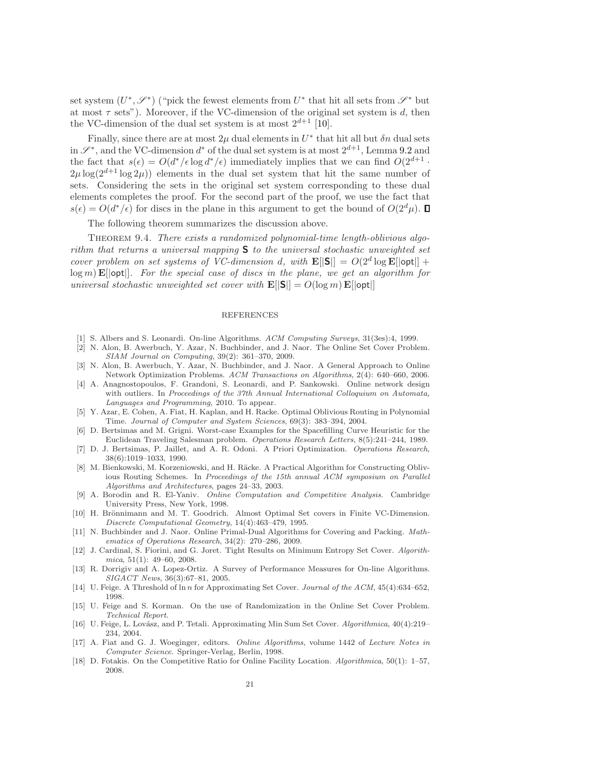set system  $(U^*,\mathscr{S}^*)$  ("pick the fewest elements from  $U^*$  that hit all sets from  $\mathscr{S}^*$  but at most  $\tau$  sets"). Moreover, if the VC-dimension of the original set system is d, then the VC-dimension of the dual set system is at most  $2^{d+1}$  [10].

Finally, since there are at most  $2\mu$  dual elements in  $U^*$  that hit all but  $\delta n$  dual sets in  $\mathscr{S}^*$ , and the VC-dimension  $d^*$  of the dual set system is at most  $2^{d+1}$ , Lemma 9.2 and the fact that  $s(\epsilon) = O(d^*/\epsilon \log d^*/\epsilon)$  immediately implies that we can find  $O(2^{d+1} \cdot$  $2\mu \log(2^{d+1} \log 2\mu)$  elements in the dual set system that hit the same number of sets. Considering the sets in the original set system corresponding to these dual elements completes the proof. For the second part of the proof, we use the fact that  $s(\epsilon) = O(d^*/\epsilon)$  for discs in the plane in this argument to get the bound of  $O(2^d\mu)$ .

The following theorem summarizes the discussion above.

Theorem 9.4. There exists a randomized polynomial-time length-oblivious algorithm that returns a universal mapping  $S$  to the universal stochastic unweighted set cover problem on set systems of VC-dimension d, with  $\mathbf{E}[|S|] = O(2^d \log E[|\mathsf{opt}|] +$  $\log m$ ) E[|opt|]. For the special case of discs in the plane, we get an algorithm for universal stochastic unweighted set cover with  $\mathbf{E}[|S|] = O(\log m) \mathbf{E}[|\text{opt}|]$ 

### REFERENCES

- [1] S. Albers and S. Leonardi. On-line Algorithms. ACM Computing Surveys, 31(3es):4, 1999.
- [2] N. Alon, B. Awerbuch, Y. Azar, N. Buchbinder, and J. Naor. The Online Set Cover Problem. SIAM Journal on Computing, 39(2): 361–370, 2009.
- [3] N. Alon, B. Awerbuch, Y. Azar, N. Buchbinder, and J. Naor. A General Approach to Online Network Optimization Problems. ACM Transactions on Algorithms, 2(4): 640–660, 2006.
- [4] A. Anagnostopoulos, F. Grandoni, S. Leonardi, and P. Sankowski. Online network design with outliers. In Proceedings of the 37th Annual International Colloquium on Automata, Languages and Programming, 2010. To appear.
- [5] Y. Azar, E. Cohen, A. Fiat, H. Kaplan, and H. Racke. Optimal Oblivious Routing in Polynomial Time. Journal of Computer and System Sciences, 69(3): 383–394, 2004.
- [6] D. Bertsimas and M. Grigni. Worst-case Examples for the Spacefilling Curve Heuristic for the Euclidean Traveling Salesman problem. Operations Research Letters, 8(5):241–244, 1989.
- [7] D. J. Bertsimas, P. Jaillet, and A. R. Odoni. A Priori Optimization. Operations Research, 38(6):1019–1033, 1990.
- [8] M. Bienkowski, M. Korzeniowski, and H. Räcke. A Practical Algorithm for Constructing Oblivious Routing Schemes. In Proceedings of the 15th annual ACM symposium on Parallel Algorithms and Architectures, pages 24–33, 2003.
- [9] A. Borodin and R. El-Yaniv. Online Computation and Competitive Analysis. Cambridge University Press, New York, 1998.
- [10] H. Brönnimann and M. T. Goodrich. Almost Optimal Set covers in Finite VC-Dimension. Discrete Computational Geometry, 14(4):463–479, 1995.
- [11] N. Buchbinder and J. Naor. Online Primal-Dual Algorithms for Covering and Packing. Mathematics of Operations Research, 34(2): 270–286, 2009.
- [12] J. Cardinal, S. Fiorini, and G. Joret. Tight Results on Minimum Entropy Set Cover. Algorithmica, 51(1): 49–60, 2008.
- [13] R. Dorrigiv and A. Lopez-Ortiz. A Survey of Performance Measures for On-line Algorithms. SIGACT News, 36(3):67–81, 2005.
- [14] U. Feige. A Threshold of ln n for Approximating Set Cover. Journal of the ACM, 45(4):634–652, 1998.
- [15] U. Feige and S. Korman. On the use of Randomization in the Online Set Cover Problem. Technical Report.
- [16] U. Feige, L. Lovász, and P. Tetali. Approximating Min Sum Set Cover. Algorithmica, 40(4):219– 234, 2004.
- [17] A. Fiat and G. J. Woeginger, editors. Online Algorithms, volume 1442 of Lecture Notes in Computer Science. Springer-Verlag, Berlin, 1998.
- [18] D. Fotakis. On the Competitive Ratio for Online Facility Location. Algorithmica, 50(1): 1–57, 2008.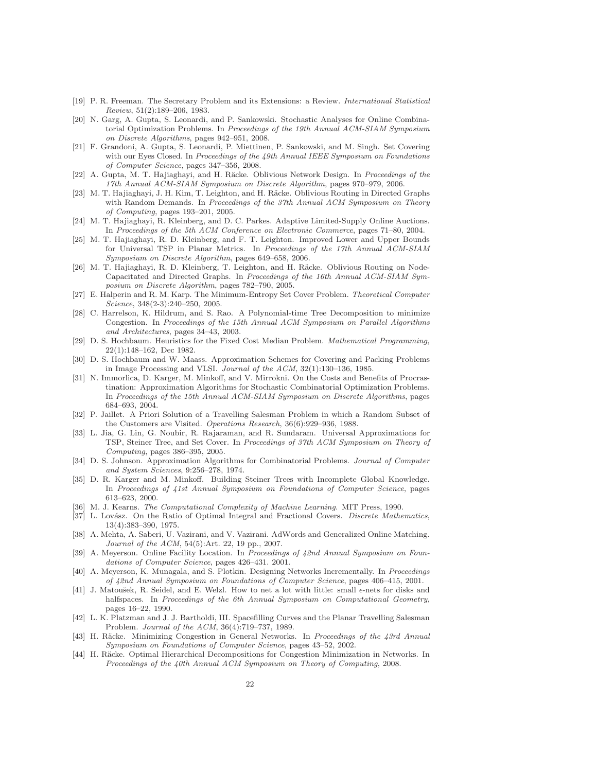- [19] P. R. Freeman. The Secretary Problem and its Extensions: a Review. International Statistical Review, 51(2):189–206, 1983.
- [20] N. Garg, A. Gupta, S. Leonardi, and P. Sankowski. Stochastic Analyses for Online Combinatorial Optimization Problems. In Proceedings of the 19th Annual ACM-SIAM Symposium on Discrete Algorithms, pages 942–951, 2008.
- [21] F. Grandoni, A. Gupta, S. Leonardi, P. Miettinen, P. Sankowski, and M. Singh. Set Covering with our Eyes Closed. In Proceedings of the 49th Annual IEEE Symposium on Foundations of Computer Science, pages 347–356, 2008.
- [22] A. Gupta, M. T. Hajiaghayi, and H. Räcke. Oblivious Network Design. In Proceedings of the 17th Annual ACM-SIAM Symposium on Discrete Algorithm, pages 970–979, 2006.
- [23] M. T. Hajiaghayi, J. H. Kim, T. Leighton, and H. Räcke. Oblivious Routing in Directed Graphs with Random Demands. In Proceedings of the 37th Annual ACM Symposium on Theory of Computing, pages 193–201, 2005.
- [24] M. T. Hajiaghayi, R. Kleinberg, and D. C. Parkes. Adaptive Limited-Supply Online Auctions. In Proceedings of the 5th ACM Conference on Electronic Commerce, pages 71–80, 2004.
- [25] M. T. Hajiaghayi, R. D. Kleinberg, and F. T. Leighton. Improved Lower and Upper Bounds for Universal TSP in Planar Metrics. In Proceedings of the 17th Annual ACM-SIAM Symposium on Discrete Algorithm, pages 649–658, 2006.
- [26] M. T. Hajiaghayi, R. D. Kleinberg, T. Leighton, and H. Räcke. Oblivious Routing on Node-Capacitated and Directed Graphs. In Proceedings of the 16th Annual ACM-SIAM Symposium on Discrete Algorithm, pages 782–790, 2005.
- [27] E. Halperin and R. M. Karp. The Minimum-Entropy Set Cover Problem. Theoretical Computer Science, 348(2-3):240–250, 2005.
- [28] C. Harrelson, K. Hildrum, and S. Rao. A Polynomial-time Tree Decomposition to minimize Congestion. In Proceedings of the 15th Annual ACM Symposium on Parallel Algorithms and Architectures, pages 34–43, 2003.
- [29] D. S. Hochbaum. Heuristics for the Fixed Cost Median Problem. Mathematical Programming, 22(1):148–162, Dec 1982.
- [30] D. S. Hochbaum and W. Maass. Approximation Schemes for Covering and Packing Problems in Image Processing and VLSI. Journal of the ACM, 32(1):130–136, 1985.
- [31] N. Immorlica, D. Karger, M. Minkoff, and V. Mirrokni. On the Costs and Benefits of Procrastination: Approximation Algorithms for Stochastic Combinatorial Optimization Problems. In Proceedings of the 15th Annual ACM-SIAM Symposium on Discrete Algorithms, pages 684–693, 2004.
- [32] P. Jaillet. A Priori Solution of a Travelling Salesman Problem in which a Random Subset of the Customers are Visited. Operations Research, 36(6):929–936, 1988.
- [33] L. Jia, G. Lin, G. Noubir, R. Rajaraman, and R. Sundaram. Universal Approximations for TSP, Steiner Tree, and Set Cover. In Proceedings of 37th ACM Symposium on Theory of Computing, pages 386–395, 2005.
- [34] D. S. Johnson. Approximation Algorithms for Combinatorial Problems. Journal of Computer and System Sciences, 9:256–278, 1974.
- [35] D. R. Karger and M. Minkoff. Building Steiner Trees with Incomplete Global Knowledge. In Proceedings of 41st Annual Symposium on Foundations of Computer Science, pages 613–623, 2000.
- [36] M. J. Kearns. The Computational Complexity of Machine Learning. MIT Press, 1990.
- [37] L. Lovász. On the Ratio of Optimal Integral and Fractional Covers. Discrete Mathematics, 13(4):383–390, 1975.
- [38] A. Mehta, A. Saberi, U. Vazirani, and V. Vazirani. AdWords and Generalized Online Matching. Journal of the ACM, 54(5):Art. 22, 19 pp., 2007.
- [39] A. Meyerson. Online Facility Location. In Proceedings of 42nd Annual Symposium on Foundations of Computer Science, pages 426–431. 2001.
- [40] A. Meyerson, K. Munagala, and S. Plotkin. Designing Networks Incrementally. In Proceedings of 42nd Annual Symposium on Foundations of Computer Science, pages 406–415, 2001.
- [41] J. Matoušek, R. Seidel, and E. Welzl. How to net a lot with little: small  $\epsilon$ -nets for disks and halfspaces. In Proceedings of the 6th Annual Symposium on Computational Geometry, pages 16–22, 1990.
- [42] L. K. Platzman and J. J. Bartholdi, III. Spacefilling Curves and the Planar Travelling Salesman Problem. Journal of the ACM, 36(4):719–737, 1989.
- [43] H. Räcke. Minimizing Congestion in General Networks. In Proceedings of the 43rd Annual Symposium on Foundations of Computer Science, pages 43–52, 2002.
- [44] H. Räcke. Optimal Hierarchical Decompositions for Congestion Minimization in Networks. In Proceedings of the 40th Annual ACM Symposium on Theory of Computing, 2008.